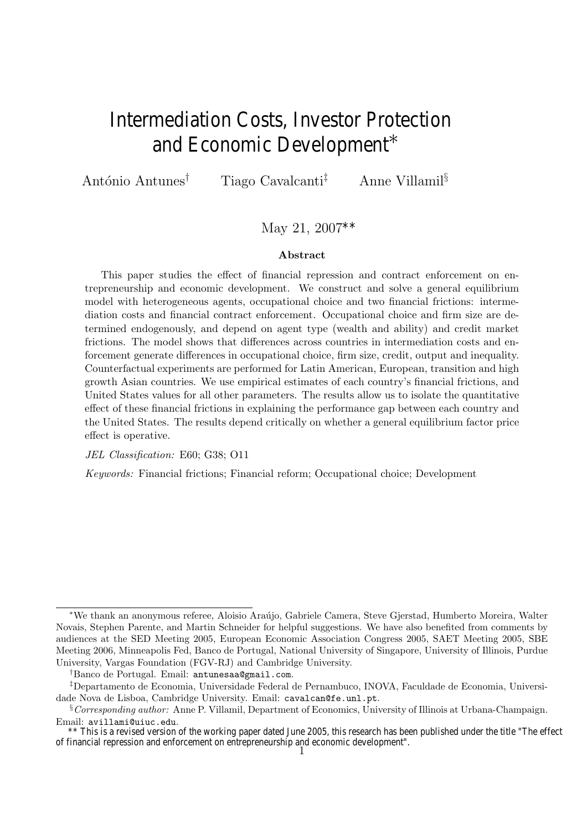# Intermediation Costs, Investor Protection and Economic Development<sup>\*</sup>

António Antunes<sup>†</sup> Tiago Cavalcanti<sup>‡</sup> Anne Villamil<sup>§</sup>

#### May 21, 2007\*\*

#### Abstract

This paper studies the effect of financial repression and contract enforcement on entrepreneurship and economic development. We construct and solve a general equilibrium model with heterogeneous agents, occupational choice and two financial frictions: intermediation costs and financial contract enforcement. Occupational choice and firm size are determined endogenously, and depend on agent type (wealth and ability) and credit market frictions. The model shows that differences across countries in intermediation costs and enforcement generate differences in occupational choice, firm size, credit, output and inequality. Counterfactual experiments are performed for Latin American, European, transition and high growth Asian countries. We use empirical estimates of each country's financial frictions, and United States values for all other parameters. The results allow us to isolate the quantitative effect of these financial frictions in explaining the performance gap between each country and the United States. The results depend critically on whether a general equilibrium factor price effect is operative.

JEL Classification: E60; G38; O11

Keywords: Financial frictions; Financial reform; Occupational choice; Development

<sup>∗</sup>We thank an anonymous referee, Aloisio Araujo, ´ Gabriele Camera, Steve Gjerstad, Humberto Moreira, Walter Novais, Stephen Parente, and Martin Schneider for helpful suggestions. We have also benefited from comments by audiences at the SED Meeting 2005, European Economic Association Congress 2005, SAET Meeting 2005, SBE Meeting 2006, Minneapolis Fed, Banco de Portugal, National University of Singapore, University of Illinois, Purdue University, Vargas Foundation (FGV-RJ) and Cambridge University.

<sup>†</sup>Banco de Portugal. Email: antunesaa@gmail.com.

<sup>‡</sup>Departamento de Economia, Universidade Federal de Pernambuco, INOVA, Faculdade de Economia, Universidade Nova de Lisboa, Cambridge University. Email: cavalcan@fe.unl.pt.

<sup>§</sup>Corresponding author: Anne P. Villamil, Department of Economics, University of Illinois at Urbana-Champaign. Email: avillami@uiuc.edu.

 <sup>\*\*</sup> This is a revised version of the working paper dated June 2005, this research has been published under the title "The effect of financial repression and enforcement on entrepreneurship and economic development". <sup>1</sup>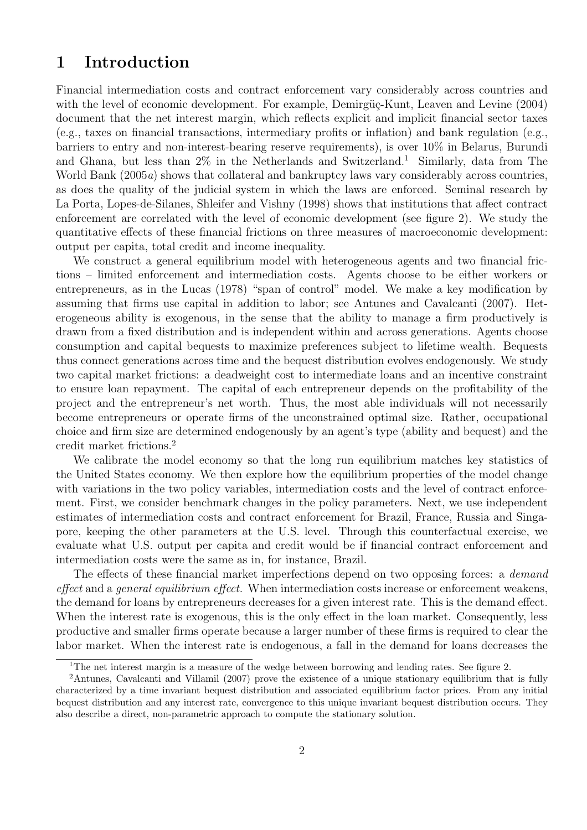### 1 Introduction

Financial intermediation costs and contract enforcement vary considerably across countries and with the level of economic development. For example, Demirguç–Kunt, Leaven and Levine (2004) document that the net interest margin, which reflects explicit and implicit financial sector taxes (e.g., taxes on financial transactions, intermediary profits or inflation) and bank regulation (e.g., barriers to entry and non-interest-bearing reserve requirements), is over 10% in Belarus, Burundi and Ghana, but less than  $2\%$  in the Netherlands and Switzerland.<sup>1</sup> Similarly, data from The World Bank (2005a) shows that collateral and bankruptcy laws vary considerably across countries, as does the quality of the judicial system in which the laws are enforced. Seminal research by La Porta, Lopes-de-Silanes, Shleifer and Vishny (1998) shows that institutions that affect contract enforcement are correlated with the level of economic development (see figure 2). We study the quantitative effects of these financial frictions on three measures of macroeconomic development: output per capita, total credit and income inequality.

We construct a general equilibrium model with heterogeneous agents and two financial frictions – limited enforcement and intermediation costs. Agents choose to be either workers or entrepreneurs, as in the Lucas (1978) "span of control" model. We make a key modification by assuming that firms use capital in addition to labor; see Antunes and Cavalcanti (2007). Heterogeneous ability is exogenous, in the sense that the ability to manage a firm productively is drawn from a fixed distribution and is independent within and across generations. Agents choose consumption and capital bequests to maximize preferences subject to lifetime wealth. Bequests thus connect generations across time and the bequest distribution evolves endogenously. We study two capital market frictions: a deadweight cost to intermediate loans and an incentive constraint to ensure loan repayment. The capital of each entrepreneur depends on the profitability of the project and the entrepreneur's net worth. Thus, the most able individuals will not necessarily become entrepreneurs or operate firms of the unconstrained optimal size. Rather, occupational choice and firm size are determined endogenously by an agent's type (ability and bequest) and the credit market frictions.<sup>2</sup>

We calibrate the model economy so that the long run equilibrium matches key statistics of the United States economy. We then explore how the equilibrium properties of the model change with variations in the two policy variables, intermediation costs and the level of contract enforcement. First, we consider benchmark changes in the policy parameters. Next, we use independent estimates of intermediation costs and contract enforcement for Brazil, France, Russia and Singapore, keeping the other parameters at the U.S. level. Through this counterfactual exercise, we evaluate what U.S. output per capita and credit would be if financial contract enforcement and intermediation costs were the same as in, for instance, Brazil.

The effects of these financial market imperfections depend on two opposing forces: a *demand* effect and a *general equilibrium effect*. When intermediation costs increase or enforcement weakens, the demand for loans by entrepreneurs decreases for a given interest rate. This is the demand effect. When the interest rate is exogenous, this is the only effect in the loan market. Consequently, less productive and smaller firms operate because a larger number of these firms is required to clear the labor market. When the interest rate is endogenous, a fall in the demand for loans decreases the

<sup>&</sup>lt;sup>1</sup>The net interest margin is a measure of the wedge between borrowing and lending rates. See figure 2.

<sup>&</sup>lt;sup>2</sup>Antunes, Cavalcanti and Villamil (2007) prove the existence of a unique stationary equilibrium that is fully characterized by a time invariant bequest distribution and associated equilibrium factor prices. From any initial bequest distribution and any interest rate, convergence to this unique invariant bequest distribution occurs. They also describe a direct, non-parametric approach to compute the stationary solution.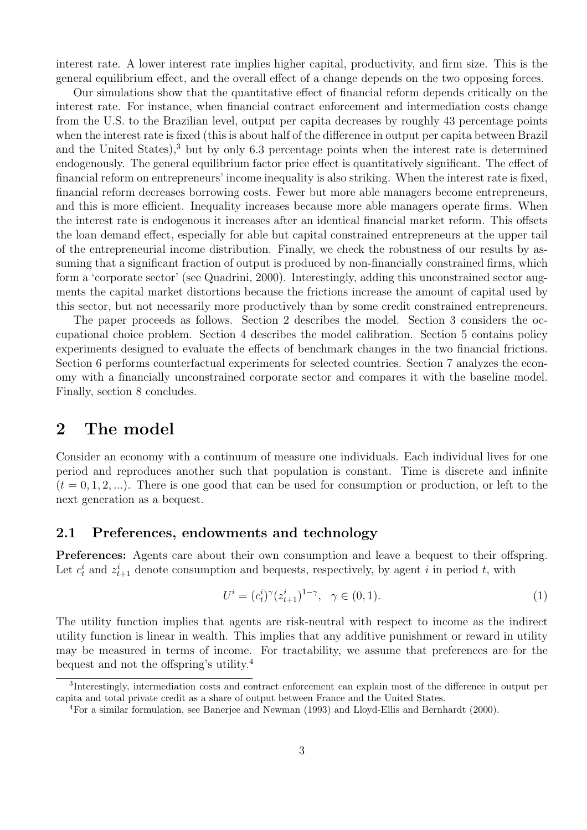interest rate. A lower interest rate implies higher capital, productivity, and firm size. This is the general equilibrium effect, and the overall effect of a change depends on the two opposing forces.

Our simulations show that the quantitative effect of financial reform depends critically on the interest rate. For instance, when financial contract enforcement and intermediation costs change from the U.S. to the Brazilian level, output per capita decreases by roughly 43 percentage points when the interest rate is fixed (this is about half of the difference in output per capita between Brazil and the United States),<sup>3</sup> but by only 6.3 percentage points when the interest rate is determined endogenously. The general equilibrium factor price effect is quantitatively significant. The effect of financial reform on entrepreneurs' income inequality is also striking. When the interest rate is fixed, financial reform decreases borrowing costs. Fewer but more able managers become entrepreneurs, and this is more efficient. Inequality increases because more able managers operate firms. When the interest rate is endogenous it increases after an identical financial market reform. This offsets the loan demand effect, especially for able but capital constrained entrepreneurs at the upper tail of the entrepreneurial income distribution. Finally, we check the robustness of our results by assuming that a significant fraction of output is produced by non-financially constrained firms, which form a 'corporate sector' (see Quadrini, 2000). Interestingly, adding this unconstrained sector augments the capital market distortions because the frictions increase the amount of capital used by this sector, but not necessarily more productively than by some credit constrained entrepreneurs.

The paper proceeds as follows. Section 2 describes the model. Section 3 considers the occupational choice problem. Section 4 describes the model calibration. Section 5 contains policy experiments designed to evaluate the effects of benchmark changes in the two financial frictions. Section 6 performs counterfactual experiments for selected countries. Section 7 analyzes the economy with a financially unconstrained corporate sector and compares it with the baseline model. Finally, section 8 concludes.

### 2 The model

Consider an economy with a continuum of measure one individuals. Each individual lives for one period and reproduces another such that population is constant. Time is discrete and infinite  $(t = 0, 1, 2, \ldots)$ . There is one good that can be used for consumption or production, or left to the next generation as a bequest.

#### 2.1 Preferences, endowments and technology

Preferences: Agents care about their own consumption and leave a bequest to their offspring. Let  $c_t^i$  and  $z_{t+1}^i$  denote consumption and bequests, respectively, by agent i in period t, with

$$
U^{i} = (c_{t}^{i})^{\gamma} (z_{t+1}^{i})^{1-\gamma}, \quad \gamma \in (0,1).
$$
 (1)

The utility function implies that agents are risk-neutral with respect to income as the indirect utility function is linear in wealth. This implies that any additive punishment or reward in utility may be measured in terms of income. For tractability, we assume that preferences are for the bequest and not the offspring's utility.<sup>4</sup>

<sup>3</sup>Interestingly, intermediation costs and contract enforcement can explain most of the difference in output per capita and total private credit as a share of output between France and the United States.

<sup>4</sup>For a similar formulation, see Banerjee and Newman (1993) and Lloyd-Ellis and Bernhardt (2000).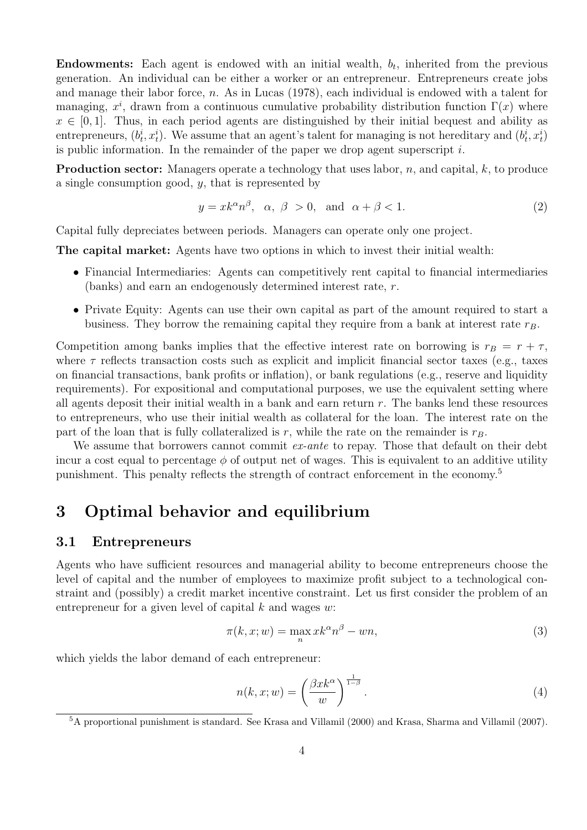**Endowments:** Each agent is endowed with an initial wealth,  $b_t$ , inherited from the previous generation. An individual can be either a worker or an entrepreneur. Entrepreneurs create jobs and manage their labor force,  $n$ . As in Lucas (1978), each individual is endowed with a talent for managing,  $x^i$ , drawn from a continuous cumulative probability distribution function  $\Gamma(x)$  where  $x \in [0, 1]$ . Thus, in each period agents are distinguished by their initial bequest and ability as entrepreneurs,  $(b_t^i, x_t^i)$ . We assume that an agent's talent for managing is not hereditary and  $(b_t^i, x_t^i)$ is public information. In the remainder of the paper we drop agent superscript  $i$ .

**Production sector:** Managers operate a technology that uses labor,  $n$ , and capital,  $k$ , to produce a single consumption good,  $y$ , that is represented by

$$
y = xk^{\alpha}n^{\beta}, \quad \alpha, \quad \beta > 0, \quad \text{and} \quad \alpha + \beta < 1. \tag{2}
$$

Capital fully depreciates between periods. Managers can operate only one project.

The capital market: Agents have two options in which to invest their initial wealth:

- Financial Intermediaries: Agents can competitively rent capital to financial intermediaries (banks) and earn an endogenously determined interest rate, r.
- Private Equity: Agents can use their own capital as part of the amount required to start a business. They borrow the remaining capital they require from a bank at interest rate  $r_B$ .

Competition among banks implies that the effective interest rate on borrowing is  $r_B = r + \tau$ , where  $\tau$  reflects transaction costs such as explicit and implicit financial sector taxes (e.g., taxes on financial transactions, bank profits or inflation), or bank regulations (e.g., reserve and liquidity requirements). For expositional and computational purposes, we use the equivalent setting where all agents deposit their initial wealth in a bank and earn return  $r$ . The banks lend these resources to entrepreneurs, who use their initial wealth as collateral for the loan. The interest rate on the part of the loan that is fully collateralized is r, while the rate on the remainder is  $r_B$ .

We assume that borrowers cannot commit *ex-ante* to repay. Those that default on their debt incur a cost equal to percentage  $\phi$  of output net of wages. This is equivalent to an additive utility punishment. This penalty reflects the strength of contract enforcement in the economy. 5

### 3 Optimal behavior and equilibrium

#### 3.1 Entrepreneurs

Agents who have sufficient resources and managerial ability to become entrepreneurs choose the level of capital and the number of employees to maximize profit subject to a technological constraint and (possibly) a credit market incentive constraint. Let us first consider the problem of an entrepreneur for a given level of capital  $k$  and wages  $w$ :

$$
\pi(k, x; w) = \max_{n} x k^{\alpha} n^{\beta} - w n,
$$
\n(3)

which yields the labor demand of each entrepreneur:

$$
n(k, x; w) = \left(\frac{\beta x k^{\alpha}}{w}\right)^{\frac{1}{1-\beta}}.
$$
\n(4)

<sup>5</sup>A proportional punishment is standard. See Krasa and Villamil (2000) and Krasa, Sharma and Villamil (2007).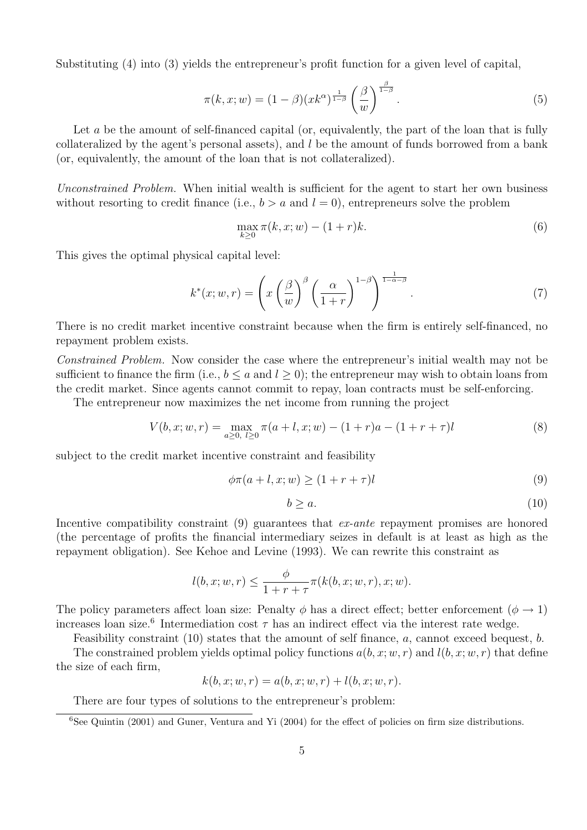Substituting (4) into (3) yields the entrepreneur's profit function for a given level of capital,

$$
\pi(k, x; w) = (1 - \beta)(x k^{\alpha})^{\frac{1}{1 - \beta}} \left(\frac{\beta}{w}\right)^{\frac{\beta}{1 - \beta}}.
$$
\n(5)

Let  $a$  be the amount of self-financed capital (or, equivalently, the part of the loan that is fully collateralized by the agent's personal assets), and l be the amount of funds borrowed from a bank (or, equivalently, the amount of the loan that is not collateralized).

Unconstrained Problem. When initial wealth is sufficient for the agent to start her own business without resorting to credit finance (i.e.,  $b > a$  and  $l = 0$ ), entrepreneurs solve the problem

$$
\max_{k\geq 0} \pi(k, x; w) - (1+r)k.
$$
 (6)

This gives the optimal physical capital level:

$$
k^*(x; w, r) = \left(x\left(\frac{\beta}{w}\right)^{\beta} \left(\frac{\alpha}{1+r}\right)^{1-\beta}\right)^{\frac{1}{1-\alpha-\beta}}.
$$
 (7)

There is no credit market incentive constraint because when the firm is entirely self-financed, no repayment problem exists.

Constrained Problem. Now consider the case where the entrepreneur's initial wealth may not be sufficient to finance the firm (i.e.,  $b \le a$  and  $l \ge 0$ ); the entrepreneur may wish to obtain loans from the credit market. Since agents cannot commit to repay, loan contracts must be self-enforcing.

The entrepreneur now maximizes the net income from running the project

$$
V(b, x; w, r) = \max_{a \ge 0, l \ge 0} \pi(a + l, x; w) - (1 + r)a - (1 + r + \tau)l
$$
\n(8)

subject to the credit market incentive constraint and feasibility

$$
\phi \pi(a+l, x; w) \ge (1+r+\tau)l \tag{9}
$$

$$
b \ge a. \tag{10}
$$

Incentive compatibility constraint (9) guarantees that *ex-ante* repayment promises are honored (the percentage of profits the financial intermediary seizes in default is at least as high as the repayment obligation). See Kehoe and Levine (1993). We can rewrite this constraint as

$$
l(b, x; w, r) \le \frac{\phi}{1 + r + \tau} \pi(k(b, x; w, r), x; w).
$$

The policy parameters affect loan size: Penalty  $\phi$  has a direct effect; better enforcement  $(\phi \to 1)$ increases loan size.<sup>6</sup> Intermediation cost  $\tau$  has an indirect effect via the interest rate wedge.

Feasibility constraint (10) states that the amount of self finance, a, cannot exceed bequest, b.

The constrained problem yields optimal policy functions  $a(b, x; w, r)$  and  $l(b, x; w, r)$  that define the size of each firm,

$$
k(b, x; w, r) = a(b, x; w, r) + l(b, x; w, r).
$$

There are four types of solutions to the entrepreneur's problem:

<sup>&</sup>lt;sup>6</sup>See Quintin (2001) and Guner, Ventura and Yi (2004) for the effect of policies on firm size distributions.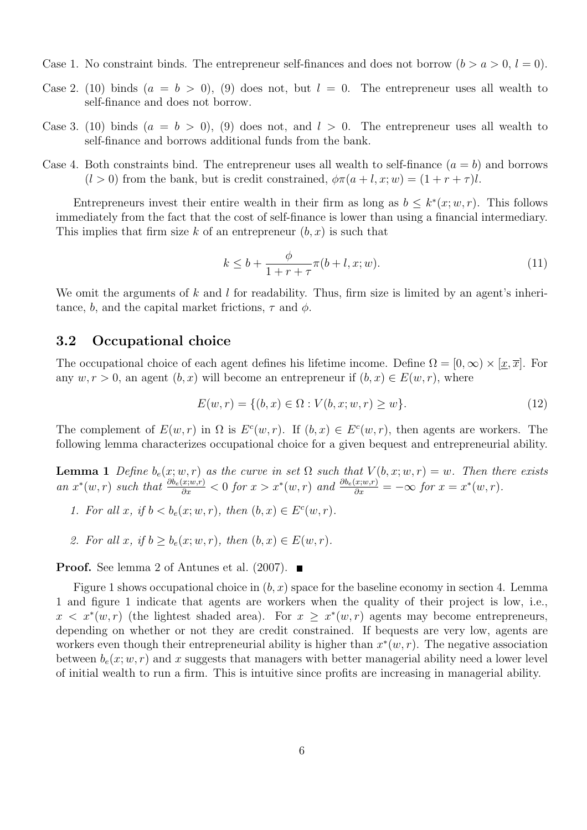- Case 1. No constraint binds. The entrepreneur self-finances and does not borrow  $(b > a > 0, l = 0)$ .
- Case 2. (10) binds  $(a = b > 0)$ , (9) does not, but  $l = 0$ . The entrepreneur uses all wealth to self-finance and does not borrow.
- Case 3. (10) binds  $(a = b > 0)$ , (9) does not, and  $l > 0$ . The entrepreneur uses all wealth to self-finance and borrows additional funds from the bank.
- Case 4. Both constraints bind. The entrepreneur uses all wealth to self-finance  $(a = b)$  and borrows  $(l > 0)$  from the bank, but is credit constrained,  $\phi \pi(a + l, x; w) = (1 + r + \tau)l$ .

Entrepreneurs invest their entire wealth in their firm as long as  $b \leq k^*(x; w, r)$ . This follows immediately from the fact that the cost of self-finance is lower than using a financial intermediary. This implies that firm size k of an entrepreneur  $(b, x)$  is such that

$$
k \le b + \frac{\phi}{1+r+\tau} \pi(b+l, x; w). \tag{11}
$$

We omit the arguments of k and l for readability. Thus, firm size is limited by an agent's inheritance, b, and the capital market frictions,  $\tau$  and  $\phi$ .

#### 3.2 Occupational choice

The occupational choice of each agent defines his lifetime income. Define  $\Omega = [0,\infty) \times [x,\overline{x}]$ . For any  $w, r > 0$ , an agent  $(b, x)$  will become an entrepreneur if  $(b, x) \in E(w, r)$ , where

$$
E(w,r) = \{(b,x) \in \Omega : V(b,x;w,r) \ge w\}.
$$
\n(12)

The complement of  $E(w, r)$  in  $\Omega$  is  $E<sup>c</sup>(w, r)$ . If  $(b, x) \in E<sup>c</sup>(w, r)$ , then agents are workers. The following lemma characterizes occupational choice for a given bequest and entrepreneurial ability.

**Lemma 1** Define  $b_e(x; w, r)$  as the curve in set  $\Omega$  such that  $V(b, x; w, r) = w$ . Then there exists an  $x^*(w,r)$  such that  $\frac{\partial b_e(x;w,r)}{\partial x} < 0$  for  $x > x^*(w,r)$  and  $\frac{\partial b_e(x;w,r)}{\partial x} = -\infty$  for  $x = x^*(w,r)$ .

- 1. For all x, if  $b < b_e(x; w, r)$ , then  $(b, x) \in E^c(w, r)$ .
- 2. For all x, if  $b \geq b_e(x; w, r)$ , then  $(b, x) \in E(w, r)$ .

**Proof.** See lemma 2 of Antunes et al. (2007).  $\blacksquare$ 

Figure 1 shows occupational choice in  $(b, x)$  space for the baseline economy in section 4. Lemma 1 and figure 1 indicate that agents are workers when the quality of their project is low, i.e.,  $x < x^*(w, r)$  (the lightest shaded area). For  $x \geq x^*(w, r)$  agents may become entrepreneurs, depending on whether or not they are credit constrained. If bequests are very low, agents are workers even though their entrepreneurial ability is higher than  $x^*(w, r)$ . The negative association between  $b_e(x;w,r)$  and x suggests that managers with better managerial ability need a lower level of initial wealth to run a firm. This is intuitive since profits are increasing in managerial ability.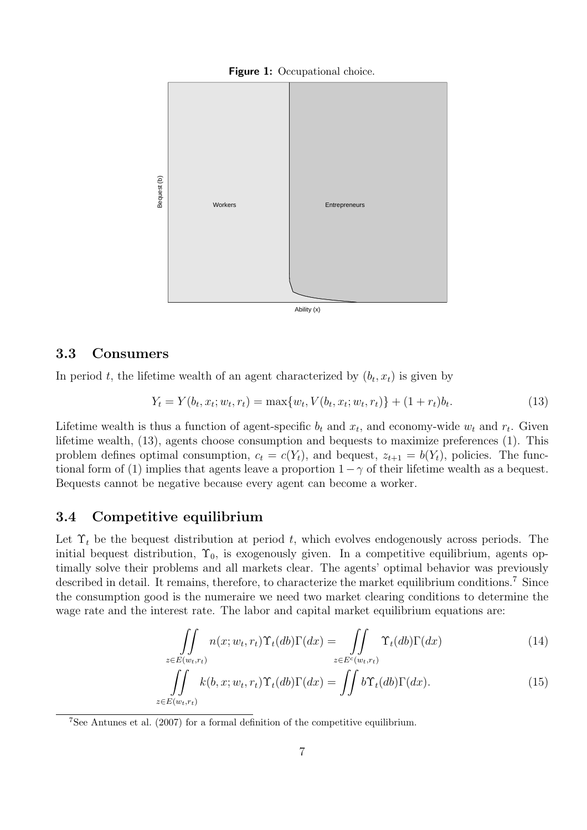

Ability (x)

#### 3.3 Consumers

In period t, the lifetime wealth of an agent characterized by  $(b_t, x_t)$  is given by

$$
Y_t = Y(b_t, x_t; w_t, r_t) = \max\{w_t, V(b_t, x_t; w_t, r_t)\} + (1 + r_t)b_t.
$$
\n(13)

Lifetime wealth is thus a function of agent-specific  $b_t$  and  $x_t$ , and economy-wide  $w_t$  and  $r_t$ . Given lifetime wealth, (13), agents choose consumption and bequests to maximize preferences (1). This problem defines optimal consumption,  $c_t = c(Y_t)$ , and bequest,  $z_{t+1} = b(Y_t)$ , policies. The functional form of (1) implies that agents leave a proportion  $1-\gamma$  of their lifetime wealth as a bequest. Bequests cannot be negative because every agent can become a worker.

#### 3.4 Competitive equilibrium

Let  $\Upsilon_t$  be the bequest distribution at period t, which evolves endogenously across periods. The initial bequest distribution,  $\Upsilon_0$ , is exogenously given. In a competitive equilibrium, agents optimally solve their problems and all markets clear. The agents' optimal behavior was previously described in detail. It remains, therefore, to characterize the market equilibrium conditions.<sup>7</sup> Since the consumption good is the numeraire we need two market clearing conditions to determine the wage rate and the interest rate. The labor and capital market equilibrium equations are:

$$
\iint\limits_{z \in E(w_t, r_t)} n(x; w_t, r_t) \Upsilon_t(db) \Gamma(dx) = \iint\limits_{z \in E^c(w_t, r_t)} \Upsilon_t(db) \Gamma(dx)
$$
\n(14)

$$
\iint_{z \in E(w_t, r_t)} k(b, x; w_t, r_t) \Upsilon_t(db) \Gamma(dx) = \iint b \Upsilon_t(db) \Gamma(dx).
$$
\n(15)

<sup>7</sup>See Antunes et al. (2007) for a formal definition of the competitive equilibrium.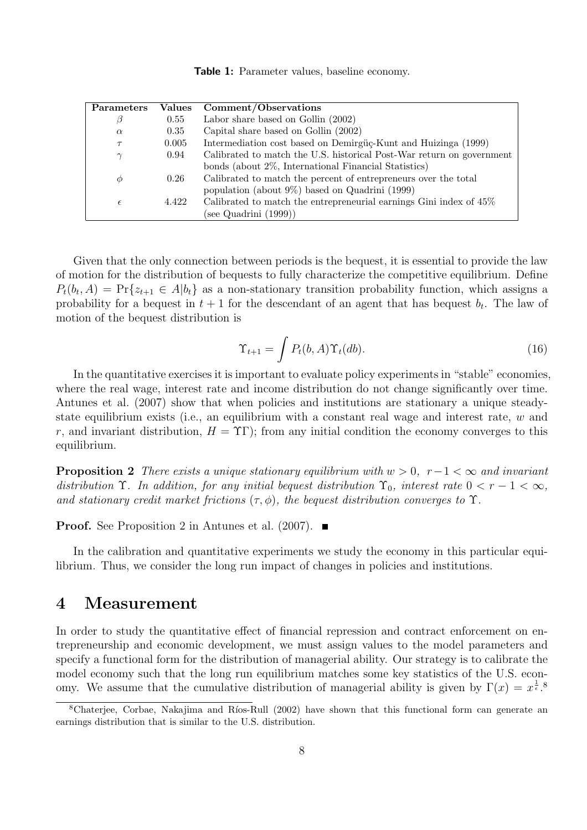Table 1: Parameter values, baseline economy.

| Parameters | Values | Comment/Observations                                                  |
|------------|--------|-----------------------------------------------------------------------|
| B          | 0.55   | Labor share based on Gollin (2002)                                    |
| $\alpha$   | 0.35   | Capital share based on Gollin (2002)                                  |
| $\tau$     | 0.005  | Intermediation cost based on Demirgüç-Kunt and Huizinga (1999)        |
| $\gamma$   | 0.94   | Calibrated to match the U.S. historical Post-War return on government |
|            |        | bonds (about 2\%, International Financial Statistics)                 |
| $\varphi$  | 0.26   | Calibrated to match the percent of entrepreneurs over the total       |
|            |        | population (about $9\%$ ) based on Quadrini (1999)                    |
| $\epsilon$ | 4.422  | Calibrated to match the entrepreneurial earnings Gini index of $45\%$ |
|            |        | (see Quadrini (1999))                                                 |

Given that the only connection between periods is the bequest, it is essential to provide the law of motion for the distribution of bequests to fully characterize the competitive equilibrium. Define  $P_t(b_t, A) = \Pr\{z_{t+1} \in A | b_t\}$  as a non-stationary transition probability function, which assigns a probability for a bequest in  $t + 1$  for the descendant of an agent that has bequest  $b_t$ . The law of motion of the bequest distribution is

$$
\Upsilon_{t+1} = \int P_t(b, A) \Upsilon_t(db). \tag{16}
$$

In the quantitative exercises it is important to evaluate policy experiments in "stable" economies, where the real wage, interest rate and income distribution do not change significantly over time. Antunes et al. (2007) show that when policies and institutions are stationary a unique steadystate equilibrium exists (i.e., an equilibrium with a constant real wage and interest rate,  $w$  and r, and invariant distribution,  $H = \Upsilon \Gamma$ ; from any initial condition the economy converges to this equilibrium.

**Proposition 2** There exists a unique stationary equilibrium with  $w > 0$ ,  $r-1 < \infty$  and invariant distribution  $\Upsilon$ . In addition, for any initial bequest distribution  $\Upsilon_0$ , interest rate  $0 < r - 1 < \infty$ , and stationary credit market frictions  $(\tau, \phi)$ , the bequest distribution converges to  $\Upsilon$ .

**Proof.** See Proposition 2 in Antunes et al. (2007).  $\blacksquare$ 

In the calibration and quantitative experiments we study the economy in this particular equilibrium. Thus, we consider the long run impact of changes in policies and institutions.

### 4 Measurement

In order to study the quantitative effect of financial repression and contract enforcement on entrepreneurship and economic development, we must assign values to the model parameters and specify a functional form for the distribution of managerial ability. Our strategy is to calibrate the model economy such that the long run equilibrium matches some key statistics of the U.S. economy. We assume that the cumulative distribution of managerial ability is given by  $\Gamma(x) = x^{\frac{1}{\epsilon}}$ .

 ${}^8$ Chaterjee, Corbae, Nakajima and Ríos-Rull (2002) have shown that this functional form can generate an earnings distribution that is similar to the U.S. distribution.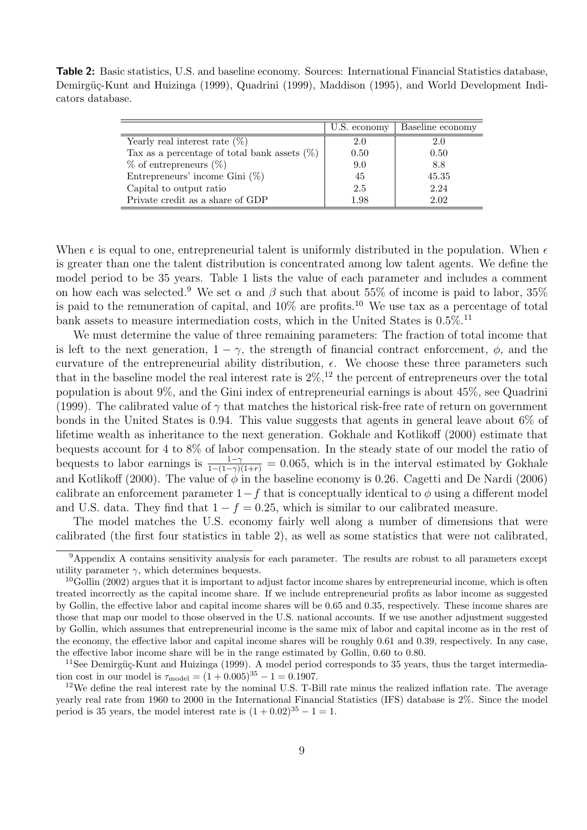Table 2: Basic statistics, U.S. and baseline economy. Sources: International Financial Statistics database, Demirgüç-Kunt and Huizinga (1999), Quadrini (1999), Maddison (1995), and World Development Indicators database.

|                                                 | U.S. economy | Baseline economy |
|-------------------------------------------------|--------------|------------------|
| Yearly real interest rate $(\%)$                | 2.0          | 2.0              |
| Tax as a percentage of total bank assets $(\%)$ | 0.50         | 0.50             |
| $\%$ of entrepreneurs $(\%)$                    | 9.0          | 8.8              |
| Entrepreneurs' income Gini $(\%)$               | 45           | 45.35            |
| Capital to output ratio                         | 2.5          | 2.24             |
| Private credit as a share of GDP                | $1.98\,$     | 2.02             |

When  $\epsilon$  is equal to one, entrepreneurial talent is uniformly distributed in the population. When  $\epsilon$ is greater than one the talent distribution is concentrated among low talent agents. We define the model period to be 35 years. Table 1 lists the value of each parameter and includes a comment on how each was selected.<sup>9</sup> We set  $\alpha$  and  $\beta$  such that about 55% of income is paid to labor, 35% is paid to the remuneration of capital, and  $10\%$  are profits.<sup>10</sup> We use tax as a percentage of total bank assets to measure intermediation costs, which in the United States is  $0.5\%$ .<sup>11</sup>

We must determine the value of three remaining parameters: The fraction of total income that is left to the next generation,  $1 - \gamma$ , the strength of financial contract enforcement,  $\phi$ , and the curvature of the entrepreneurial ability distribution,  $\epsilon$ . We choose these three parameters such that in the baseline model the real interest rate is  $2\%,$ <sup>12</sup> the percent of entrepreneurs over the total population is about 9%, and the Gini index of entrepreneurial earnings is about 45%, see Quadrini (1999). The calibrated value of  $\gamma$  that matches the historical risk-free rate of return on government bonds in the United States is 0.94. This value suggests that agents in general leave about 6% of lifetime wealth as inheritance to the next generation. Gokhale and Kotlikoff (2000) estimate that bequests account for 4 to 8% of labor compensation. In the steady state of our model the ratio of bequests to labor earnings is  $\frac{1-\gamma}{1-(1-\gamma)(1+r)} = 0.065$ , which is in the interval estimated by Gokhale and Kotlikoff (2000). The value of  $\phi$  in the baseline economy is 0.26. Cagetti and De Nardi (2006) calibrate an enforcement parameter  $1-f$  that is conceptually identical to  $\phi$  using a different model and U.S. data. They find that  $1 - f = 0.25$ , which is similar to our calibrated measure.

The model matches the U.S. economy fairly well along a number of dimensions that were calibrated (the first four statistics in table 2), as well as some statistics that were not calibrated,

<sup>&</sup>lt;sup>9</sup>Appendix A contains sensitivity analysis for each parameter. The results are robust to all parameters except utility parameter  $\gamma$ , which determines bequests.

 $10$ Gollin (2002) argues that it is important to adjust factor income shares by entrepreneurial income, which is often treated incorrectly as the capital income share. If we include entrepreneurial profits as labor income as suggested by Gollin, the effective labor and capital income shares will be 0.65 and 0.35, respectively. These income shares are those that map our model to those observed in the U.S. national accounts. If we use another adjustment suggested by Gollin, which assumes that entrepreneurial income is the same mix of labor and capital income as in the rest of the economy, the effective labor and capital income shares will be roughly 0.61 and 0.39, respectively. In any case, the effective labor income share will be in the range estimated by Gollin, 0.60 to 0.80.

 $11$ See Demirgüç-Kunt and Huizinga (1999). A model period corresponds to 35 years, thus the target intermediation cost in our model is  $\tau_{\text{model}} = (1 + 0.005)^{35} - 1 = 0.1907$ .

 $12$ We define the real interest rate by the nominal U.S. T-Bill rate minus the realized inflation rate. The average yearly real rate from 1960 to 2000 in the International Financial Statistics (IFS) database is 2%. Since the model period is 35 years, the model interest rate is  $(1 + 0.02)^{35} - 1 = 1$ .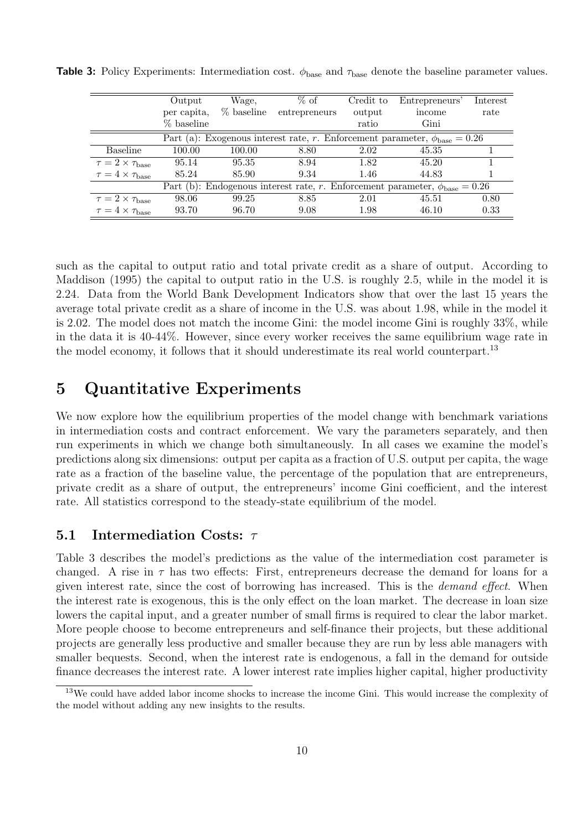|                                      | Output      | Wage,      | $%$ of        | Credit to | Entrepreneurs'                                                                            | Interest |
|--------------------------------------|-------------|------------|---------------|-----------|-------------------------------------------------------------------------------------------|----------|
|                                      | per capita, | % baseline | entrepreneurs | output    | income                                                                                    | rate     |
|                                      | % baseline  |            |               | ratio     | Gini                                                                                      |          |
|                                      |             |            |               |           | Part (a): Exogenous interest rate, r. Enforcement parameter, $\phi_{base} = 0.26$         |          |
| <b>Baseline</b>                      | 100.00      | 100.00     | 8.80          | 2.02      | 45.35                                                                                     |          |
| $\tau = 2 \times \tau_{\text{base}}$ | 95.14       | 95.35      | 8.94          | 1.82      | 45.20                                                                                     |          |
| $\tau = 4 \times \tau_{base}$        | 85.24       | 85.90      | 9.34          | 1.46      | 44.83                                                                                     |          |
|                                      |             |            |               |           | Part (b): Endogenous interest rate, r. Enforcement parameter, $\phi_{\text{base}} = 0.26$ |          |
| $\tau = 2 \times \tau_{\text{base}}$ | 98.06       | 99.25      | 8.85          | 2.01      | 45.51                                                                                     | 0.80     |
| $\tau = 4 \times \tau_{base}$        | 93.70       | 96.70      | 9.08          | 1.98      | 46.10                                                                                     | 0.33     |

**Table 3:** Policy Experiments: Intermediation cost.  $\phi_{base}$  and  $\tau_{base}$  denote the baseline parameter values.

such as the capital to output ratio and total private credit as a share of output. According to Maddison (1995) the capital to output ratio in the U.S. is roughly 2.5, while in the model it is 2.24. Data from the World Bank Development Indicators show that over the last 15 years the average total private credit as a share of income in the U.S. was about 1.98, while in the model it is 2.02. The model does not match the income Gini: the model income Gini is roughly 33%, while in the data it is 40-44%. However, since every worker receives the same equilibrium wage rate in the model economy, it follows that it should underestimate its real world counterpart.<sup>13</sup>

### 5 Quantitative Experiments

We now explore how the equilibrium properties of the model change with benchmark variations in intermediation costs and contract enforcement. We vary the parameters separately, and then run experiments in which we change both simultaneously. In all cases we examine the model's predictions along six dimensions: output per capita as a fraction of U.S. output per capita, the wage rate as a fraction of the baseline value, the percentage of the population that are entrepreneurs, private credit as a share of output, the entrepreneurs' income Gini coefficient, and the interest rate. All statistics correspond to the steady-state equilibrium of the model.

#### 5.1 Intermediation Costs:  $\tau$

Table 3 describes the model's predictions as the value of the intermediation cost parameter is changed. A rise in  $\tau$  has two effects: First, entrepreneurs decrease the demand for loans for a given interest rate, since the cost of borrowing has increased. This is the demand effect. When the interest rate is exogenous, this is the only effect on the loan market. The decrease in loan size lowers the capital input, and a greater number of small firms is required to clear the labor market. More people choose to become entrepreneurs and self-finance their projects, but these additional projects are generally less productive and smaller because they are run by less able managers with smaller bequests. Second, when the interest rate is endogenous, a fall in the demand for outside finance decreases the interest rate. A lower interest rate implies higher capital, higher productivity

<sup>&</sup>lt;sup>13</sup>We could have added labor income shocks to increase the income Gini. This would increase the complexity of the model without adding any new insights to the results.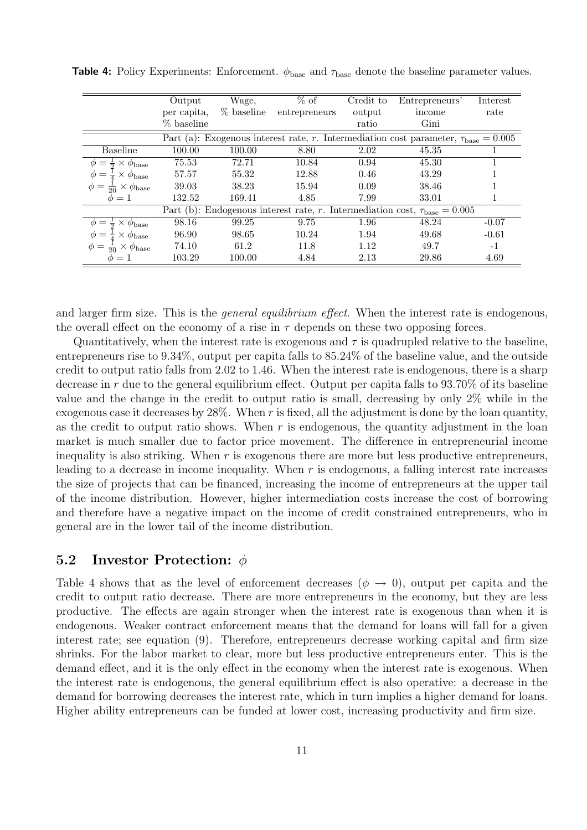|                                                                                                                                | Output      | Wage,      | $\overline{\%}$ of | Credit to | Entrepreneurs'                                                                             | Interest |
|--------------------------------------------------------------------------------------------------------------------------------|-------------|------------|--------------------|-----------|--------------------------------------------------------------------------------------------|----------|
|                                                                                                                                | per capita, | % baseline | entrepreneurs      | output    | income                                                                                     | rate     |
|                                                                                                                                | % baseline  |            |                    | ratio     | Gini                                                                                       |          |
|                                                                                                                                |             |            |                    |           | Part (a): Exogenous interest rate, r. Intermediation cost parameter, $\tau_{base} = 0.005$ |          |
| <b>Baseline</b>                                                                                                                | 100.00      | 100.00     | 8.80               | 2.02      | 45.35                                                                                      |          |
|                                                                                                                                | 75.53       | 72.71      | 10.84              | 0.94      | 45.30                                                                                      |          |
|                                                                                                                                | 57.57       | 55.32      | 12.88              | 0.46      | 43.29                                                                                      |          |
| $\phi = \frac{1}{2} \times \phi_{base}$<br>$\phi = \frac{1}{4} \times \phi_{base}$<br>$\phi = \frac{1}{20} \times \phi_{base}$ | 39.03       | 38.23      | 15.94              | 0.09      | 38.46                                                                                      |          |
| $\phi=1$                                                                                                                       | 132.52      | 169.41     | 4.85               | 7.99      | 33.01                                                                                      | 1        |
|                                                                                                                                |             |            |                    |           | Part (b): Endogenous interest rate, r. Intermediation cost, $\tau_{base} = 0.005$          |          |
|                                                                                                                                | 98.16       | 99.25      | 9.75               | 1.96      | 48.24                                                                                      | $-0.07$  |
| $\phi = \frac{1}{2} \times \phi_{base}$<br>$\phi = \frac{1}{4} \times \phi_{base}$<br>$\phi = \frac{1}{20} \times \phi_{base}$ | 96.90       | 98.65      | 10.24              | 1.94      | 49.68                                                                                      | $-0.61$  |
|                                                                                                                                | 74.10       | 61.2       | 11.8               | 1.12      | 49.7                                                                                       | $-1$     |
| $\phi=1$                                                                                                                       | 103.29      | 100.00     | 4.84               | 2.13      | 29.86                                                                                      | 4.69     |

**Table 4:** Policy Experiments: Enforcement.  $\phi_{\text{base}}$  and  $\tau_{\text{base}}$  denote the baseline parameter values.

and larger firm size. This is the *general equilibrium effect*. When the interest rate is endogenous, the overall effect on the economy of a rise in  $\tau$  depends on these two opposing forces.

Quantitatively, when the interest rate is exogenous and  $\tau$  is quadrupled relative to the baseline, entrepreneurs rise to 9.34%, output per capita falls to 85.24% of the baseline value, and the outside credit to output ratio falls from 2.02 to 1.46. When the interest rate is endogenous, there is a sharp decrease in r due to the general equilibrium effect. Output per capita falls to 93.70% of its baseline value and the change in the credit to output ratio is small, decreasing by only 2% while in the exogenous case it decreases by  $28\%$ . When r is fixed, all the adjustment is done by the loan quantity, as the credit to output ratio shows. When  $r$  is endogenous, the quantity adjustment in the loan market is much smaller due to factor price movement. The difference in entrepreneurial income inequality is also striking. When  $r$  is exogenous there are more but less productive entrepreneurs, leading to a decrease in income inequality. When  $r$  is endogenous, a falling interest rate increases the size of projects that can be financed, increasing the income of entrepreneurs at the upper tail of the income distribution. However, higher intermediation costs increase the cost of borrowing and therefore have a negative impact on the income of credit constrained entrepreneurs, who in general are in the lower tail of the income distribution.

#### 5.2 Investor Protection:  $\phi$

Table 4 shows that as the level of enforcement decreases ( $\phi \rightarrow 0$ ), output per capita and the credit to output ratio decrease. There are more entrepreneurs in the economy, but they are less productive. The effects are again stronger when the interest rate is exogenous than when it is endogenous. Weaker contract enforcement means that the demand for loans will fall for a given interest rate; see equation (9). Therefore, entrepreneurs decrease working capital and firm size shrinks. For the labor market to clear, more but less productive entrepreneurs enter. This is the demand effect, and it is the only effect in the economy when the interest rate is exogenous. When the interest rate is endogenous, the general equilibrium effect is also operative: a decrease in the demand for borrowing decreases the interest rate, which in turn implies a higher demand for loans. Higher ability entrepreneurs can be funded at lower cost, increasing productivity and firm size.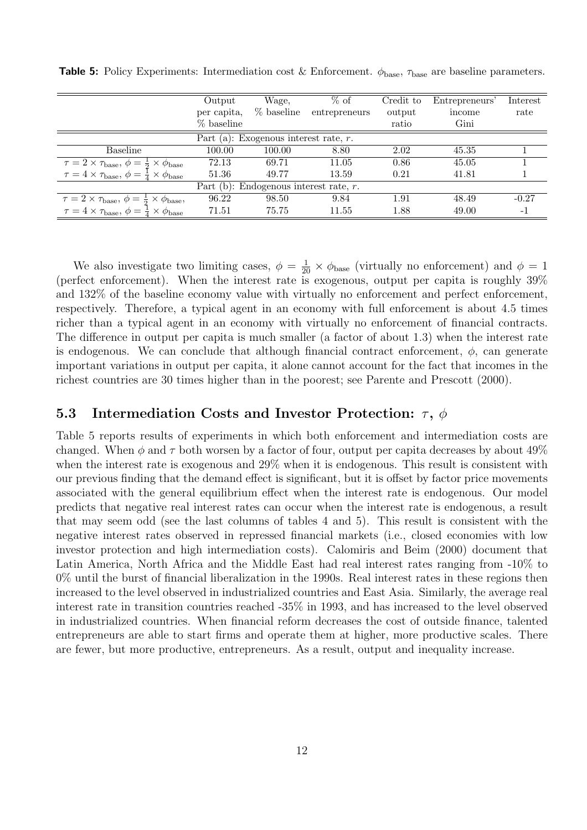|                                                                                                                                                                               | Output      | Wage,                                    | $%$ of        | Credit to | Entrepreneurs' | Interest |  |  |  |
|-------------------------------------------------------------------------------------------------------------------------------------------------------------------------------|-------------|------------------------------------------|---------------|-----------|----------------|----------|--|--|--|
|                                                                                                                                                                               | per capita, | % baseline                               | entrepreneurs | output    | income         | rate     |  |  |  |
|                                                                                                                                                                               | % baseline  |                                          |               | ratio     | Gini           |          |  |  |  |
|                                                                                                                                                                               |             | Part (a): Exogenous interest rate, $r$ . |               |           |                |          |  |  |  |
| Baseline                                                                                                                                                                      | 100.00      | 100.00                                   | 8.80          | 2.02      | 45.35          |          |  |  |  |
|                                                                                                                                                                               | 72.13       | 69.71                                    | 11.05         | 0.86      | 45.05          |          |  |  |  |
| $\tau = 2 \times \tau_{\text{base}}, \phi = \frac{1}{2} \times \phi_{\text{base}}$<br>$\tau = 4 \times \tau_{\text{base}}, \phi = \frac{1}{4} \times \phi_{\text{base}}$      | 51.36       | 49.77                                    | 13.59         | 0.21      | 41.81          |          |  |  |  |
| Part (b): Endogenous interest rate, $r$ .                                                                                                                                     |             |                                          |               |           |                |          |  |  |  |
|                                                                                                                                                                               | 96.22       | 98.50                                    | 9.84          | 1.91      | 48.49          | $-0.27$  |  |  |  |
| $\tau = 2 \times \tau_{\text{base}}, \ \phi = \frac{1}{2} \times \phi_{\text{base}},$<br>$\tau = 4 \times \tau_{\text{base}}, \ \phi = \frac{1}{4} \times \phi_{\text{base}}$ | 71.51       | 75.75                                    | 11.55         | 1.88      | 49.00          | -1       |  |  |  |

**Table 5:** Policy Experiments: Intermediation cost & Enforcement.  $\phi_{\text{base}}$ ,  $\tau_{\text{base}}$  are baseline parameters.

We also investigate two limiting cases,  $\phi = \frac{1}{20} \times \phi_{base}$  (virtually no enforcement) and  $\phi = 1$ (perfect enforcement). When the interest rate is exogenous, output per capita is roughly 39% and 132% of the baseline economy value with virtually no enforcement and perfect enforcement, respectively. Therefore, a typical agent in an economy with full enforcement is about 4.5 times richer than a typical agent in an economy with virtually no enforcement of financial contracts. The difference in output per capita is much smaller (a factor of about 1.3) when the interest rate is endogenous. We can conclude that although financial contract enforcement,  $\phi$ , can generate important variations in output per capita, it alone cannot account for the fact that incomes in the richest countries are 30 times higher than in the poorest; see Parente and Prescott (2000).

#### 5.3 Intermediation Costs and Investor Protection:  $\tau$ ,  $\phi$

Table 5 reports results of experiments in which both enforcement and intermediation costs are changed. When  $\phi$  and  $\tau$  both worsen by a factor of four, output per capita decreases by about 49% when the interest rate is exogenous and 29% when it is endogenous. This result is consistent with our previous finding that the demand effect is significant, but it is offset by factor price movements associated with the general equilibrium effect when the interest rate is endogenous. Our model predicts that negative real interest rates can occur when the interest rate is endogenous, a result that may seem odd (see the last columns of tables 4 and 5). This result is consistent with the negative interest rates observed in repressed financial markets (i.e., closed economies with low investor protection and high intermediation costs). Calomiris and Beim (2000) document that Latin America, North Africa and the Middle East had real interest rates ranging from -10% to 0% until the burst of financial liberalization in the 1990s. Real interest rates in these regions then increased to the level observed in industrialized countries and East Asia. Similarly, the average real interest rate in transition countries reached -35% in 1993, and has increased to the level observed in industrialized countries. When financial reform decreases the cost of outside finance, talented entrepreneurs are able to start firms and operate them at higher, more productive scales. There are fewer, but more productive, entrepreneurs. As a result, output and inequality increase.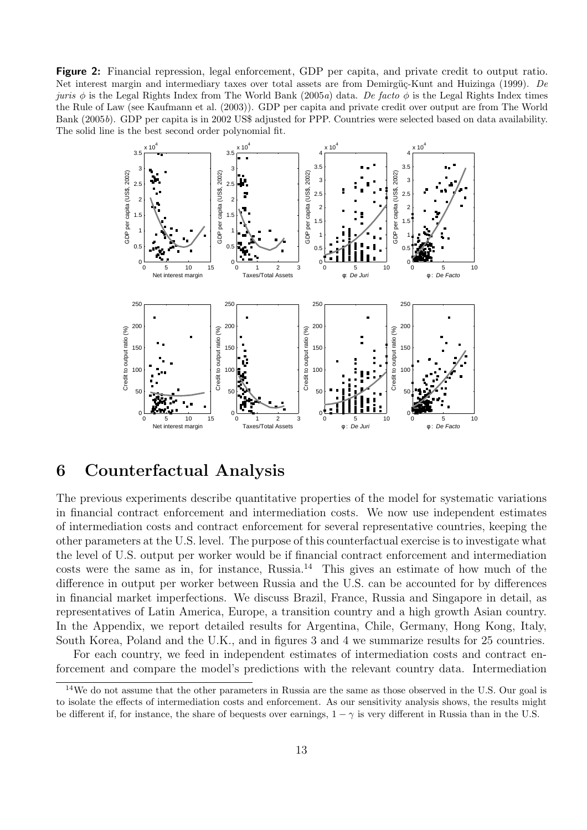Figure 2: Financial repression, legal enforcement, GDP per capita, and private credit to output ratio. Net interest margin and intermediary taxes over total assets are from Demirgüç-Kunt and Huizinga (1999). De juris φ is the Legal Rights Index from The World Bank (2005a) data. De facto  $\phi$  is the Legal Rights Index times the Rule of Law (see Kaufmann et al. (2003)). GDP per capita and private credit over output are from The World Bank (2005b). GDP per capita is in 2002 US\$ adjusted for PPP. Countries were selected based on data availability. The solid line is the best second order polynomial fit.



#### 6 Counterfactual Analysis

The previous experiments describe quantitative properties of the model for systematic variations in financial contract enforcement and intermediation costs. We now use independent estimates of intermediation costs and contract enforcement for several representative countries, keeping the other parameters at the U.S. level. The purpose of this counterfactual exercise is to investigate what the level of U.S. output per worker would be if financial contract enforcement and intermediation costs were the same as in, for instance, Russia.<sup>14</sup> This gives an estimate of how much of the difference in output per worker between Russia and the U.S. can be accounted for by differences in financial market imperfections. We discuss Brazil, France, Russia and Singapore in detail, as representatives of Latin America, Europe, a transition country and a high growth Asian country. In the Appendix, we report detailed results for Argentina, Chile, Germany, Hong Kong, Italy, South Korea, Poland and the U.K., and in figures 3 and 4 we summarize results for 25 countries.

For each country, we feed in independent estimates of intermediation costs and contract enforcement and compare the model's predictions with the relevant country data. Intermediation

<sup>14</sup>We do not assume that the other parameters in Russia are the same as those observed in the U.S. Our goal is to isolate the effects of intermediation costs and enforcement. As our sensitivity analysis shows, the results might be different if, for instance, the share of bequests over earnings,  $1 - \gamma$  is very different in Russia than in the U.S.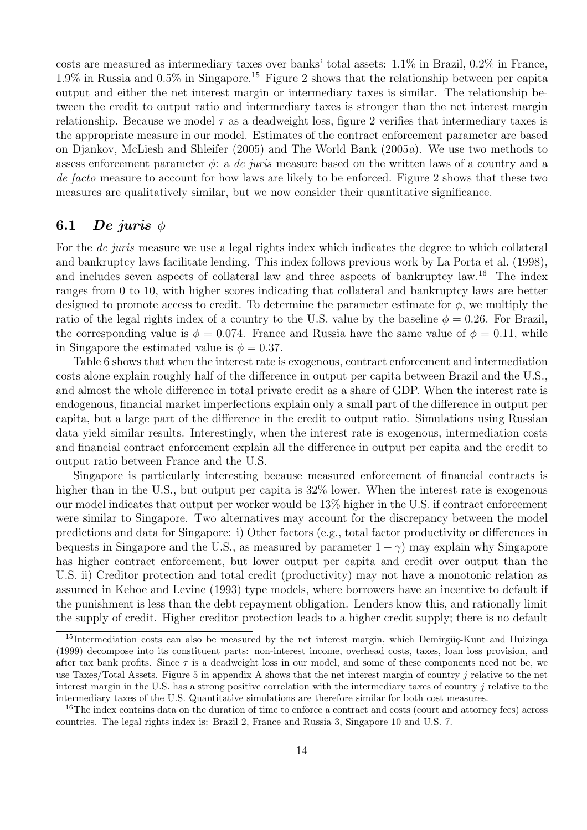costs are measured as intermediary taxes over banks' total assets: 1.1% in Brazil, 0.2% in France, 1.9% in Russia and 0.5% in Singapore.<sup>15</sup> Figure 2 shows that the relationship between per capita output and either the net interest margin or intermediary taxes is similar. The relationship between the credit to output ratio and intermediary taxes is stronger than the net interest margin relationship. Because we model  $\tau$  as a deadweight loss, figure 2 verifies that intermediary taxes is the appropriate measure in our model. Estimates of the contract enforcement parameter are based on Djankov, McLiesh and Shleifer (2005) and The World Bank (2005a). We use two methods to assess enforcement parameter  $\phi$ : a de juris measure based on the written laws of a country and a de facto measure to account for how laws are likely to be enforced. Figure 2 shows that these two measures are qualitatively similar, but we now consider their quantitative significance.

#### 6.1 De juris  $\phi$

For the *de juris* measure we use a legal rights index which indicates the degree to which collateral and bankruptcy laws facilitate lending. This index follows previous work by La Porta et al. (1998), and includes seven aspects of collateral law and three aspects of bankruptcy law.<sup>16</sup> The index ranges from 0 to 10, with higher scores indicating that collateral and bankruptcy laws are better designed to promote access to credit. To determine the parameter estimate for  $\phi$ , we multiply the ratio of the legal rights index of a country to the U.S. value by the baseline  $\phi = 0.26$ . For Brazil, the corresponding value is  $\phi = 0.074$ . France and Russia have the same value of  $\phi = 0.11$ , while in Singapore the estimated value is  $\phi = 0.37$ .

Table 6 shows that when the interest rate is exogenous, contract enforcement and intermediation costs alone explain roughly half of the difference in output per capita between Brazil and the U.S., and almost the whole difference in total private credit as a share of GDP. When the interest rate is endogenous, financial market imperfections explain only a small part of the difference in output per capita, but a large part of the difference in the credit to output ratio. Simulations using Russian data yield similar results. Interestingly, when the interest rate is exogenous, intermediation costs and financial contract enforcement explain all the difference in output per capita and the credit to output ratio between France and the U.S.

Singapore is particularly interesting because measured enforcement of financial contracts is higher than in the U.S., but output per capita is  $32\%$  lower. When the interest rate is exogenous our model indicates that output per worker would be 13% higher in the U.S. if contract enforcement were similar to Singapore. Two alternatives may account for the discrepancy between the model predictions and data for Singapore: i) Other factors (e.g., total factor productivity or differences in bequests in Singapore and the U.S., as measured by parameter  $1 - \gamma$ ) may explain why Singapore has higher contract enforcement, but lower output per capita and credit over output than the U.S. ii) Creditor protection and total credit (productivity) may not have a monotonic relation as assumed in Kehoe and Levine (1993) type models, where borrowers have an incentive to default if the punishment is less than the debt repayment obligation. Lenders know this, and rationally limit the supply of credit. Higher creditor protection leads to a higher credit supply; there is no default

 $15$ Intermediation costs can also be measured by the net interest margin, which Demirgüç-Kunt and Huizinga (1999) decompose into its constituent parts: non-interest income, overhead costs, taxes, loan loss provision, and after tax bank profits. Since  $\tau$  is a deadweight loss in our model, and some of these components need not be, we use Taxes/Total Assets. Figure 5 in appendix A shows that the net interest margin of country j relative to the net interest margin in the U.S. has a strong positive correlation with the intermediary taxes of country  $j$  relative to the intermediary taxes of the U.S. Quantitative simulations are therefore similar for both cost measures.

<sup>&</sup>lt;sup>16</sup>The index contains data on the duration of time to enforce a contract and costs (court and attorney fees) across countries. The legal rights index is: Brazil 2, France and Russia 3, Singapore 10 and U.S. 7.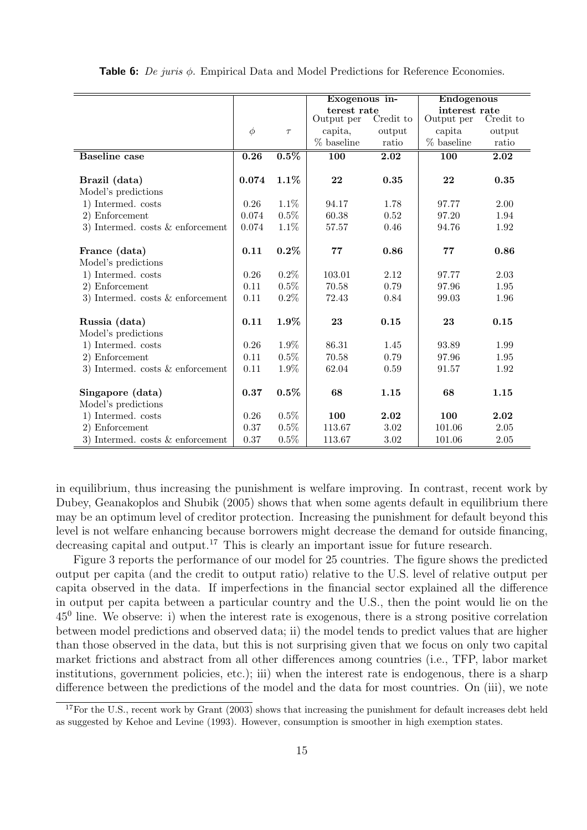|                                     |        |                    | Exogenous in- |           | <b>Endogenous</b> |           |
|-------------------------------------|--------|--------------------|---------------|-----------|-------------------|-----------|
|                                     |        |                    | terest rate   |           | interest rate     |           |
|                                     |        |                    | Output per    | Credit to | Output per        | Credit to |
|                                     | $\phi$ | $\tau$             | capita,       | output    | capita            | output    |
|                                     |        |                    | % baseline    | ratio     | $%$ baseline      | ratio     |
| <b>Baseline</b> case                | 0.26   | $\overline{0.5\%}$ | 100           | 2.02      | 100               | 2.02      |
|                                     |        |                    |               |           |                   |           |
| Brazil (data)                       | 0.074  | $1.1\%$            | 22            | 0.35      | 22                | 0.35      |
| Model's predictions                 |        |                    |               |           |                   |           |
| 1) Intermed. costs                  | 0.26   | 1.1%               | 94.17         | 1.78      | 97.77             | 2.00      |
| 2) Enforcement                      | 0.074  | 0.5%               | 60.38         | 0.52      | 97.20             | 1.94      |
| 3) Intermed. costs $&$ enforcement  | 0.074  | 1.1%               | 57.57         | 0.46      | 94.76             | 1.92      |
|                                     |        |                    |               |           |                   |           |
| France (data)                       | 0.11   | $0.2\%$            | 77            | 0.86      | 77                | 0.86      |
| Model's predictions                 |        |                    |               |           |                   |           |
| 1) Intermed. costs                  | 0.26   | 0.2%               | 103.01        | 2.12      | 97.77             | 2.03      |
| 2) Enforcement                      | 0.11   | $0.5\%$            | 70.58         | 0.79      | 97.96             | 1.95      |
| 3) Intermed. costs $&$ enforcement  | 0.11   | 0.2%               | 72.43         | 0.84      | 99.03             | 1.96      |
| Russia (data)                       | 0.11   | $1.9\%$            | 23            | 0.15      | 23                | 0.15      |
| Model's predictions                 |        |                    |               |           |                   |           |
| 1) Intermed. costs                  | 0.26   | $1.9\%$            | 86.31         | 1.45      | 93.89             | 1.99      |
| 2) Enforcement                      | 0.11   | $0.5\%$            | 70.58         | 0.79      | 97.96             | 1.95      |
| 3) Intermed. costs $\&$ enforcement | 0.11   | 1.9%               | 62.04         | 0.59      | 91.57             | 1.92      |
|                                     |        |                    |               |           |                   |           |
| Singapore (data)                    | 0.37   | $0.5\%$            | 68            | 1.15      | 68                | 1.15      |
| Model's predictions                 |        |                    |               |           |                   |           |
| 1) Intermed. costs                  | 0.26   | 0.5%               | 100           | 2.02      | 100               | 2.02      |
| 2) Enforcement                      | 0.37   | 0.5%               | 113.67        | 3.02      | 101.06            | 2.05      |
| 3) Intermed. costs $&$ enforcement  | 0.37   | 0.5%               | 113.67        | 3.02      | 101.06            | 2.05      |

**Table 6:** De juris  $\phi$ . Empirical Data and Model Predictions for Reference Economies.

in equilibrium, thus increasing the punishment is welfare improving. In contrast, recent work by Dubey, Geanakoplos and Shubik (2005) shows that when some agents default in equilibrium there may be an optimum level of creditor protection. Increasing the punishment for default beyond this level is not welfare enhancing because borrowers might decrease the demand for outside financing, decreasing capital and output.<sup>17</sup> This is clearly an important issue for future research.

Figure 3 reports the performance of our model for 25 countries. The figure shows the predicted output per capita (and the credit to output ratio) relative to the U.S. level of relative output per capita observed in the data. If imperfections in the financial sector explained all the difference in output per capita between a particular country and the U.S., then the point would lie on the  $45<sup>0</sup>$  line. We observe: i) when the interest rate is exogenous, there is a strong positive correlation between model predictions and observed data; ii) the model tends to predict values that are higher than those observed in the data, but this is not surprising given that we focus on only two capital market frictions and abstract from all other differences among countries (i.e., TFP, labor market institutions, government policies, etc.); iii) when the interest rate is endogenous, there is a sharp difference between the predictions of the model and the data for most countries. On (iii), we note

<sup>&</sup>lt;sup>17</sup>For the U.S., recent work by Grant  $(2003)$  shows that increasing the punishment for default increases debt held as suggested by Kehoe and Levine (1993). However, consumption is smoother in high exemption states.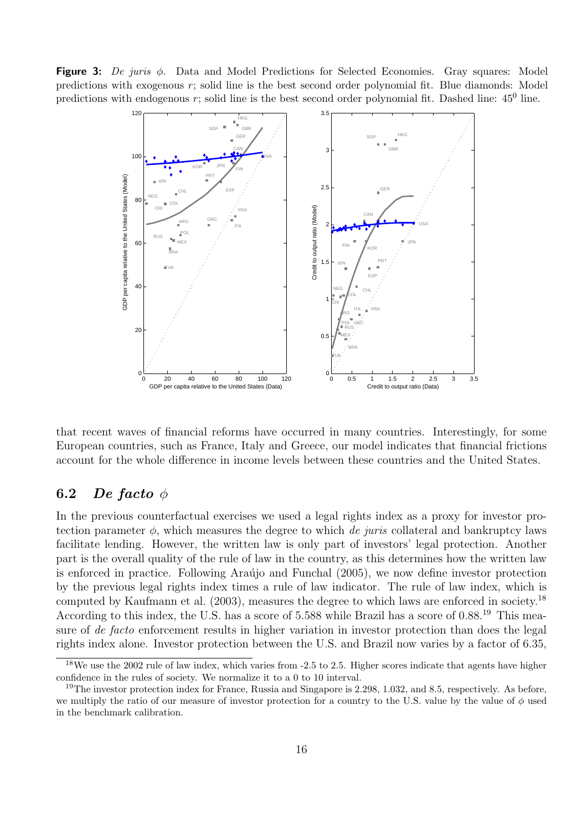**Figure 3:** De juris  $\phi$ . Data and Model Predictions for Selected Economies. Gray squares: Model predictions with exogenous r; solid line is the best second order polynomial fit. Blue diamonds: Model predictions with endogenous  $r$ ; solid line is the best second order polynomial fit. Dashed line:  $45^0$  line.



that recent waves of financial reforms have occurred in many countries. Interestingly, for some European countries, such as France, Italy and Greece, our model indicates that financial frictions account for the whole difference in income levels between these countries and the United States.

#### 6.2 De facto  $\phi$

In the previous counterfactual exercises we used a legal rights index as a proxy for investor protection parameter  $\phi$ , which measures the degree to which *de juris* collateral and bankruptcy laws facilitate lending. However, the written law is only part of investors' legal protection. Another part is the overall quality of the rule of law in the country, as this determines how the written law is enforced in practice. Following Araujo and Funchal (2005), we now define investor protection by the previous legal rights index times a rule of law indicator. The rule of law index, which is computed by Kaufmann et al. (2003), measures the degree to which laws are enforced in society.<sup>18</sup> According to this index, the U.S. has a score of 5.588 while Brazil has a score of 0.88.<sup>19</sup> This measure of *de facto* enforcement results in higher variation in investor protection than does the legal rights index alone. Investor protection between the U.S. and Brazil now varies by a factor of 6.35,

 $18$ We use the 2002 rule of law index, which varies from  $-2.5$  to 2.5. Higher scores indicate that agents have higher confidence in the rules of society. We normalize it to a 0 to 10 interval.

<sup>&</sup>lt;sup>19</sup>The investor protection index for France, Russia and Singapore is 2.298, 1.032, and 8.5, respectively. As before, we multiply the ratio of our measure of investor protection for a country to the U.S. value by the value of  $\phi$  used in the benchmark calibration.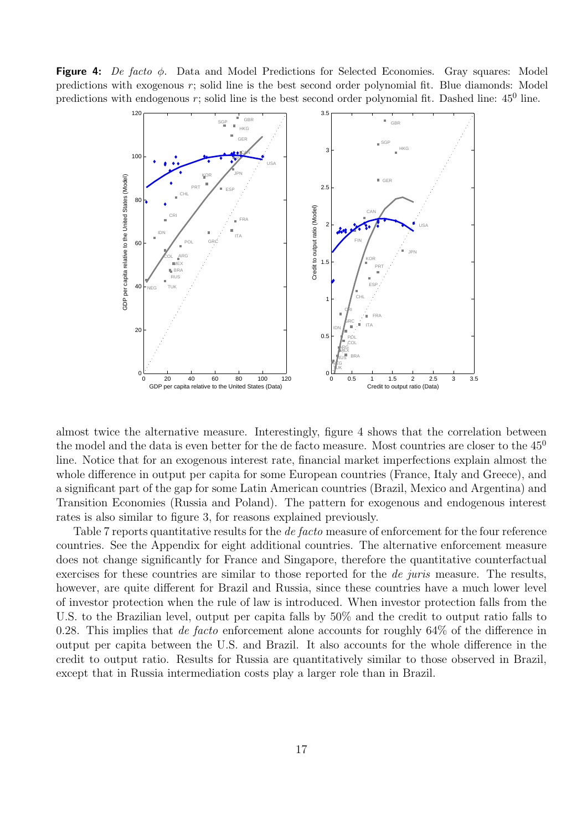**Figure 4:** De facto  $\phi$ . Data and Model Predictions for Selected Economies. Gray squares: Model predictions with exogenous r; solid line is the best second order polynomial fit. Blue diamonds: Model predictions with endogenous r; solid line is the best second order polynomial fit. Dashed line:  $45^{\circ}$  line.



almost twice the alternative measure. Interestingly, figure 4 shows that the correlation between the model and the data is even better for the de facto measure. Most countries are closer to the  $45^{\circ}$ line. Notice that for an exogenous interest rate, financial market imperfections explain almost the whole difference in output per capita for some European countries (France, Italy and Greece), and a significant part of the gap for some Latin American countries (Brazil, Mexico and Argentina) and Transition Economies (Russia and Poland). The pattern for exogenous and endogenous interest rates is also similar to figure 3, for reasons explained previously.

Table 7 reports quantitative results for the *de facto* measure of enforcement for the four reference countries. See the Appendix for eight additional countries. The alternative enforcement measure does not change significantly for France and Singapore, therefore the quantitative counterfactual exercises for these countries are similar to those reported for the *de juris* measure. The results, however, are quite different for Brazil and Russia, since these countries have a much lower level of investor protection when the rule of law is introduced. When investor protection falls from the U.S. to the Brazilian level, output per capita falls by 50% and the credit to output ratio falls to 0.28. This implies that *de facto* enforcement alone accounts for roughly  $64\%$  of the difference in output per capita between the U.S. and Brazil. It also accounts for the whole difference in the credit to output ratio. Results for Russia are quantitatively similar to those observed in Brazil, except that in Russia intermediation costs play a larger role than in Brazil.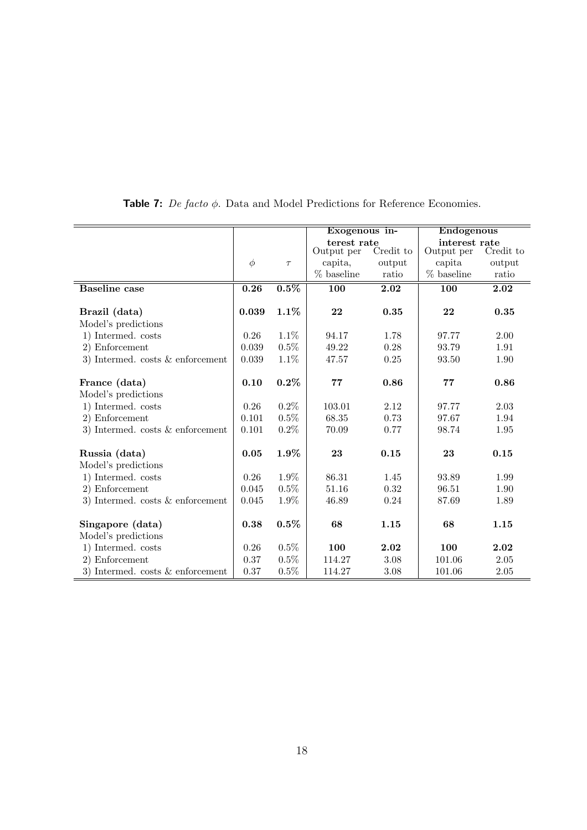|                                     |        |         | Exogenous in-         |                 | <b>Endogenous</b>    |                 |
|-------------------------------------|--------|---------|-----------------------|-----------------|----------------------|-----------------|
|                                     |        |         | terest rate           | Credit to       | interest rate        |                 |
|                                     | $\phi$ |         | Output per<br>capita, |                 | Output per           | Credit to       |
|                                     |        | $\tau$  | % baseline            | output<br>ratio | capita<br>% baseline | output<br>ratio |
|                                     |        |         |                       |                 |                      |                 |
| <b>Baseline</b> case                | 0.26   | $0.5\%$ | 100                   | 2.02            | 100                  | 2.02            |
| Brazil (data)                       | 0.039  | 1.1%    | 22                    | 0.35            | 22                   | 0.35            |
| Model's predictions                 |        |         |                       |                 |                      |                 |
| 1) Intermed. costs                  | 0.26   | $1.1\%$ | 94.17                 | 1.78            | 97.77                | 2.00            |
| 2) Enforcement                      | 0.039  | $0.5\%$ | 49.22                 | 0.28            | 93.79                | 1.91            |
| 3) Intermed. costs $&$ enforcement  | 0.039  | 1.1%    | 47.57                 | $0.25\,$        | 93.50                | 1.90            |
|                                     |        |         |                       |                 |                      |                 |
| France (data)                       | 0.10   | $0.2\%$ | 77                    | 0.86            | 77                   | 0.86            |
| Model's predictions                 |        |         |                       |                 |                      |                 |
| 1) Intermed. costs                  | 0.26   | 0.2%    | 103.01                | 2.12            | 97.77                | 2.03            |
| 2) Enforcement                      | 0.101  | 0.5%    | 68.35                 | 0.73            | 97.67                | 1.94            |
| 3) Intermed. costs $&$ enforcement  | 0.101  | 0.2%    | 70.09                 | 0.77            | 98.74                | 1.95            |
| Russia (data)                       | 0.05   | 1.9%    | 23                    | 0.15            | 23                   | 0.15            |
| Model's predictions                 |        |         |                       |                 |                      |                 |
| 1) Intermed. costs                  | 0.26   | 1.9%    | 86.31                 | 1.45            | 93.89                | 1.99            |
| 2) Enforcement                      | 0.045  | 0.5%    | 51.16                 | 0.32            | 96.51                | 1.90            |
| 3) Intermed. costs $&$ enforcement  | 0.045  | 1.9%    | 46.89                 | 0.24            | 87.69                | 1.89            |
|                                     |        |         |                       |                 |                      |                 |
| Singapore (data)                    | 0.38   | 0.5%    | 68                    | 1.15            | 68                   | 1.15            |
| Model's predictions                 |        |         |                       |                 |                      |                 |
| 1) Intermed. costs                  | 0.26   | $0.5\%$ | 100                   | 2.02            | 100                  | 2.02            |
| 2) Enforcement                      | 0.37   | 0.5%    | 114.27                | 3.08            | 101.06               | 2.05            |
| 3) Intermed. costs $\&$ enforcement | 0.37   | $0.5\%$ | 114.27                | 3.08            | 101.06               | 2.05            |

### **Table 7:**  $De\ facto\ \phi$ . Data and Model Predictions for Reference Economies.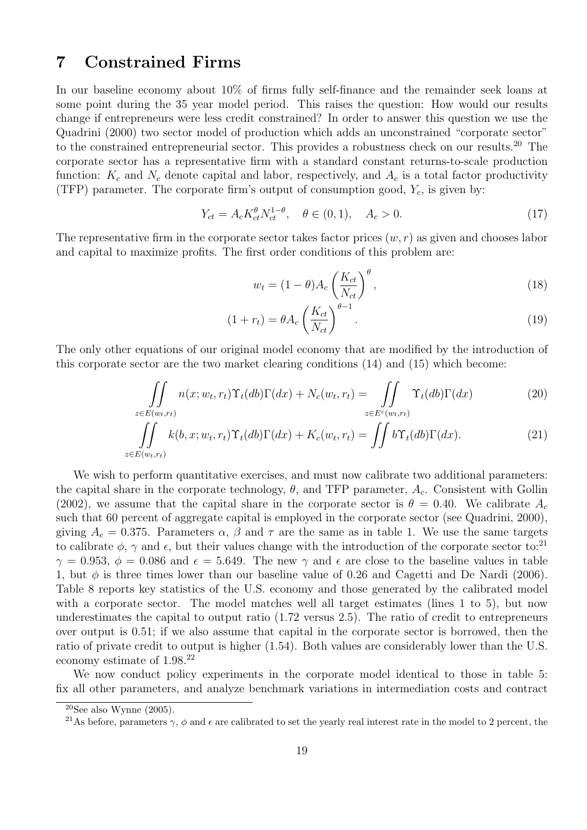### 7 Constrained Firms

In our baseline economy about 10% of firms fully self-finance and the remainder seek loans at some point during the 35 year model period. This raises the question: How would our results change if entrepreneurs were less credit constrained? In order to answer this question we use the Quadrini (2000) two sector model of production which adds an unconstrained "corporate sector" to the constrained entrepreneurial sector. This provides a robustness check on our results.<sup>20</sup> The corporate sector has a representative firm with a standard constant returns-to-scale production function:  $K_c$  and  $N_c$  denote capital and labor, respectively, and  $A_c$  is a total factor productivity (TFP) parameter. The corporate firm's output of consumption good,  $Y_c$ , is given by:

$$
Y_{ct} = A_c K_{ct}^{\theta} N_{ct}^{1-\theta}, \quad \theta \in (0,1), \quad A_c > 0.
$$
 (17)

The representative firm in the corporate sector takes factor prices  $(w, r)$  as given and chooses labor and capital to maximize profits. The first order conditions of this problem are:

$$
w_t = (1 - \theta) A_c \left(\frac{K_{ct}}{N_{ct}}\right)^{\theta},\tag{18}
$$

$$
(1 + r_t) = \theta A_c \left(\frac{K_{ct}}{N_{ct}}\right)^{\theta - 1}.
$$
 (19)

The only other equations of our original model economy that are modified by the introduction of this corporate sector are the two market clearing conditions (14) and (15) which become:

$$
\iint\limits_{z \in E(w_t, r_t)} n(x; w_t, r_t) \Upsilon_t(db) \Gamma(dx) + N_c(w_t, r_t) = \iint\limits_{z \in E^c(w_t, r_t)} \Upsilon_t(db) \Gamma(dx)
$$
\n(20)

$$
\iint\limits_{E\in(w_t,r_t)} k(b,x;w_t,r_t) \Upsilon_t(db)\Gamma(dx) + K_c(w_t,r_t) = \iint b\Upsilon_t(db)\Gamma(dx). \tag{21}
$$

We wish to perform quantitative exercises, and must now calibrate two additional parameters: the capital share in the corporate technology,  $\theta$ , and TFP parameter,  $A_c$ . Consistent with Gollin (2002), we assume that the capital share in the corporate sector is  $\theta = 0.40$ . We calibrate  $A_c$ such that 60 percent of aggregate capital is employed in the corporate sector (see Quadrini, 2000), giving  $A_c = 0.375$ . Parameters  $\alpha$ ,  $\beta$  and  $\tau$  are the same as in table 1. We use the same targets to calibrate  $\phi$ ,  $\gamma$  and  $\epsilon$ , but their values change with the introduction of the corporate sector to:<sup>21</sup>  $\gamma = 0.953, \ \phi = 0.086 \ \text{and} \ \epsilon = 5.649.$  The new  $\gamma$  and  $\epsilon$  are close to the baseline values in table 1, but  $\phi$  is three times lower than our baseline value of 0.26 and Cagetti and De Nardi (2006). Table 8 reports key statistics of the U.S. economy and those generated by the calibrated model with a corporate sector. The model matches well all target estimates (lines 1 to 5), but now underestimates the capital to output ratio (1.72 versus 2.5). The ratio of credit to entrepreneurs over output is 0.51; if we also assume that capital in the corporate sector is borrowed, then the ratio of private credit to output is higher (1.54). Both values are considerably lower than the U.S. economy estimate of 1.98.<sup>22</sup>

We now conduct policy experiments in the corporate model identical to those in table 5: fix all other parameters, and analyze benchmark variations in intermediation costs and contract

 $z$  $($ 

 $20$ See also Wynne  $(2005)$ .

<sup>&</sup>lt;sup>21</sup>As before, parameters  $\gamma$ ,  $\phi$  and  $\epsilon$  are calibrated to set the yearly real interest rate in the model to 2 percent, the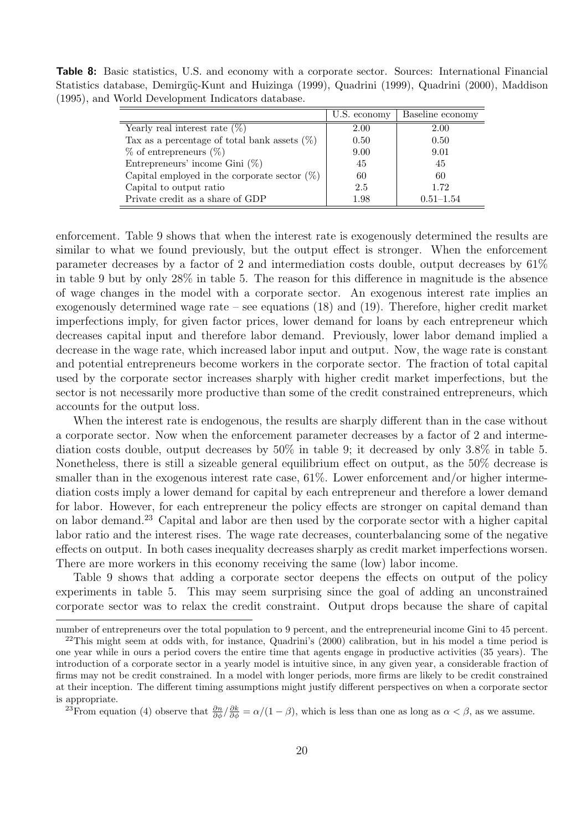Table 8: Basic statistics, U.S. and economy with a corporate sector. Sources: International Financial Statistics database, Demirgüç-Kunt and Huizinga (1999), Quadrini (1999), Quadrini (2000), Maddison (1995), and World Development Indicators database.

|                                                 | U.S. economy | Baseline economy |
|-------------------------------------------------|--------------|------------------|
| Yearly real interest rate $(\%)$                | 2.00         | 2.00             |
| Tax as a percentage of total bank assets $(\%)$ | 0.50         | 0.50             |
| $\%$ of entrepreneurs $(\%)$                    | 9.00         | 9.01             |
| Entrepreneurs' income Gini $(\%)$               | 45           | 45               |
| Capital employed in the corporate sector $(\%)$ | 60           | 60               |
| Capital to output ratio                         | 2.5          | 1.72             |
| Private credit as a share of GDP                | $1.98\,$     | $0.51 - 1.54$    |

enforcement. Table 9 shows that when the interest rate is exogenously determined the results are similar to what we found previously, but the output effect is stronger. When the enforcement parameter decreases by a factor of 2 and intermediation costs double, output decreases by 61% in table 9 but by only 28% in table 5. The reason for this difference in magnitude is the absence of wage changes in the model with a corporate sector. An exogenous interest rate implies an exogenously determined wage rate – see equations (18) and (19). Therefore, higher credit market imperfections imply, for given factor prices, lower demand for loans by each entrepreneur which decreases capital input and therefore labor demand. Previously, lower labor demand implied a decrease in the wage rate, which increased labor input and output. Now, the wage rate is constant and potential entrepreneurs become workers in the corporate sector. The fraction of total capital used by the corporate sector increases sharply with higher credit market imperfections, but the sector is not necessarily more productive than some of the credit constrained entrepreneurs, which accounts for the output loss.

When the interest rate is endogenous, the results are sharply different than in the case without a corporate sector. Now when the enforcement parameter decreases by a factor of 2 and intermediation costs double, output decreases by 50% in table 9; it decreased by only 3.8% in table 5. Nonetheless, there is still a sizeable general equilibrium effect on output, as the 50% decrease is smaller than in the exogenous interest rate case, 61%. Lower enforcement and/or higher intermediation costs imply a lower demand for capital by each entrepreneur and therefore a lower demand for labor. However, for each entrepreneur the policy effects are stronger on capital demand than on labor demand.<sup>23</sup> Capital and labor are then used by the corporate sector with a higher capital labor ratio and the interest rises. The wage rate decreases, counterbalancing some of the negative effects on output. In both cases inequality decreases sharply as credit market imperfections worsen. There are more workers in this economy receiving the same (low) labor income.

Table 9 shows that adding a corporate sector deepens the effects on output of the policy experiments in table 5. This may seem surprising since the goal of adding an unconstrained corporate sector was to relax the credit constraint. Output drops because the share of capital

number of entrepreneurs over the total population to 9 percent, and the entrepreneurial income Gini to 45 percent.

 $^{22}$ This might seem at odds with, for instance, Quadrini's (2000) calibration, but in his model a time period is one year while in ours a period covers the entire time that agents engage in productive activities (35 years). The introduction of a corporate sector in a yearly model is intuitive since, in any given year, a considerable fraction of firms may not be credit constrained. In a model with longer periods, more firms are likely to be credit constrained at their inception. The different timing assumptions might justify different perspectives on when a corporate sector is appropriate.

<sup>&</sup>lt;sup>23</sup>From equation (4) observe that  $\frac{\partial n}{\partial \phi} / \frac{\partial k}{\partial \phi} = \alpha/(1 - \beta)$ , which is less than one as long as  $\alpha < \beta$ , as we assume.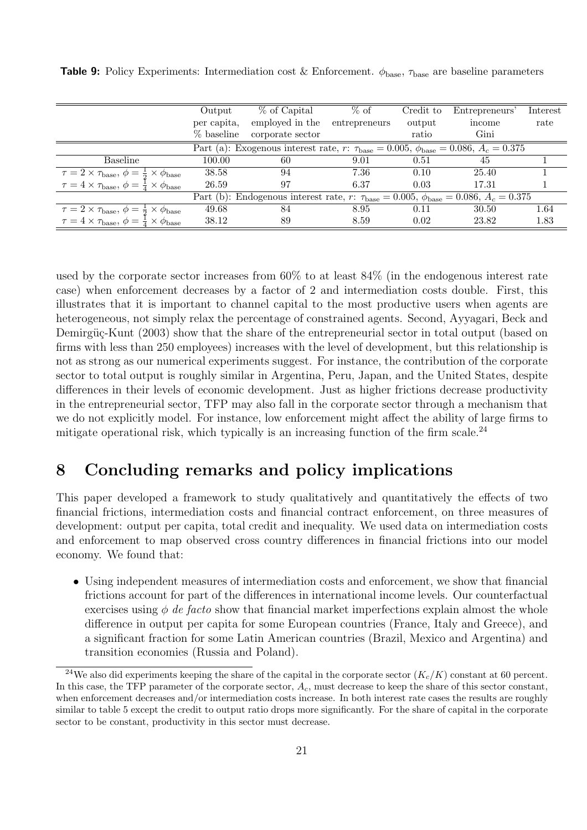| Output                                                                                              | % of Capital                                                                                         | $\%$ of       | Credit to | Entrepreneurs' | Interest |  |  |  |
|-----------------------------------------------------------------------------------------------------|------------------------------------------------------------------------------------------------------|---------------|-----------|----------------|----------|--|--|--|
| per capita,                                                                                         | employed in the                                                                                      | entrepreneurs | output    | income         | rate     |  |  |  |
| % baseline                                                                                          | corporate sector                                                                                     |               | ratio     | Gini           |          |  |  |  |
| Part (a): Exogenous interest rate, r: $\tau_{base} = 0.005$ , $\phi_{base} = 0.086$ , $A_c = 0.375$ |                                                                                                      |               |           |                |          |  |  |  |
| 100.00                                                                                              | 60                                                                                                   | 9.01          | 0.51      | 45             |          |  |  |  |
| 38.58                                                                                               | 94                                                                                                   | 7.36          | 0.10      | 25.40          |          |  |  |  |
| 26.59                                                                                               | 97                                                                                                   | 6.37          | 0.03      | 17.31          |          |  |  |  |
|                                                                                                     | Part (b): Endogenous interest rate, r: $\tau_{base} = 0.005$ , $\phi_{base} = 0.086$ , $A_c = 0.375$ |               |           |                |          |  |  |  |
| 49.68                                                                                               | 84                                                                                                   | 8.95          | 0.11      | 30.50          | 1.64     |  |  |  |
| 38.12                                                                                               | 89                                                                                                   | 8.59          | 0.02      | 23.82          | 1.83     |  |  |  |
|                                                                                                     |                                                                                                      |               |           |                |          |  |  |  |

**Table 9:** Policy Experiments: Intermediation cost & Enforcement.  $\phi_{\text{base}}$ ,  $\tau_{\text{base}}$  are baseline parameters

used by the corporate sector increases from 60% to at least 84% (in the endogenous interest rate case) when enforcement decreases by a factor of 2 and intermediation costs double. First, this illustrates that it is important to channel capital to the most productive users when agents are heterogeneous, not simply relax the percentage of constrained agents. Second, Ayyagari, Beck and Demirguç-Kunt (2003) show that the share of the entrepreneurial sector in total output (based on firms with less than 250 employees) increases with the level of development, but this relationship is not as strong as our numerical experiments suggest. For instance, the contribution of the corporate sector to total output is roughly similar in Argentina, Peru, Japan, and the United States, despite differences in their levels of economic development. Just as higher frictions decrease productivity in the entrepreneurial sector, TFP may also fall in the corporate sector through a mechanism that we do not explicitly model. For instance, low enforcement might affect the ability of large firms to mitigate operational risk, which typically is an increasing function of the firm scale.<sup>24</sup>

### 8 Concluding remarks and policy implications

This paper developed a framework to study qualitatively and quantitatively the effects of two financial frictions, intermediation costs and financial contract enforcement, on three measures of development: output per capita, total credit and inequality. We used data on intermediation costs and enforcement to map observed cross country differences in financial frictions into our model economy. We found that:

• Using independent measures of intermediation costs and enforcement, we show that financial frictions account for part of the differences in international income levels. Our counterfactual exercises using  $\phi$  de facto show that financial market imperfections explain almost the whole difference in output per capita for some European countries (France, Italy and Greece), and a significant fraction for some Latin American countries (Brazil, Mexico and Argentina) and transition economies (Russia and Poland).

<sup>&</sup>lt;sup>24</sup>We also did experiments keeping the share of the capital in the corporate sector  $(K_c/K)$  constant at 60 percent. In this case, the TFP parameter of the corporate sector,  $A_c$ , must decrease to keep the share of this sector constant, when enforcement decreases and/or intermediation costs increase. In both interest rate cases the results are roughly similar to table 5 except the credit to output ratio drops more significantly. For the share of capital in the corporate sector to be constant, productivity in this sector must decrease.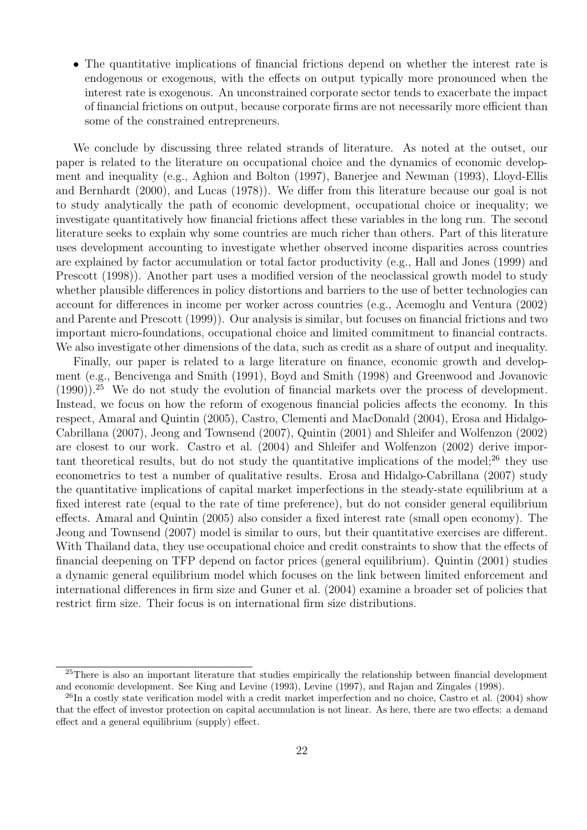• The quantitative implications of financial frictions depend on whether the interest rate is endogenous or exogenous, with the effects on output typically more pronounced when the interest rate is exogenous. An unconstrained corporate sector tends to exacerbate the impact of financial frictions on output, because corporate firms are not necessarily more efficient than some of the constrained entrepreneurs.

We conclude by discussing three related strands of literature. As noted at the outset, our paper is related to the literature on occupational choice and the dynamics of economic development and inequality (e.g., Aghion and Bolton (1997), Banerjee and Newman (1993), Lloyd-Ellis and Bernhardt (2000), and Lucas (1978)). We differ from this literature because our goal is not to study analytically the path of economic development, occupational choice or inequality; we investigate quantitatively how financial frictions affect these variables in the long run. The second literature seeks to explain why some countries are much richer than others. Part of this literature uses development accounting to investigate whether observed income disparities across countries are explained by factor accumulation or total factor productivity (e.g., Hall and Jones (1999) and Prescott (1998)). Another part uses a modified version of the neoclassical growth model to study whether plausible differences in policy distortions and barriers to the use of better technologies can account for differences in income per worker across countries (e.g., Acemoglu and Ventura (2002) and Parente and Prescott (1999)). Our analysis is similar, but focuses on financial frictions and two important micro-foundations, occupational choice and limited commitment to financial contracts. We also investigate other dimensions of the data, such as credit as a share of output and inequality.

Finally, our paper is related to a large literature on finance, economic growth and development (e.g., Bencivenga and Smith (1991), Boyd and Smith (1998) and Greenwood and Jovanovic  $(1990)$ .<sup>25</sup> We do not study the evolution of financial markets over the process of development. Instead, we focus on how the reform of exogenous financial policies affects the economy. In this respect, Amaral and Quintin (2005), Castro, Clementi and MacDonald (2004), Erosa and Hidalgo-Cabrillana (2007), Jeong and Townsend (2007), Quintin (2001) and Shleifer and Wolfenzon (2002) are closest to our work. Castro et al. (2004) and Shleifer and Wolfenzon (2002) derive important theoretical results, but do not study the quantitative implications of the model; $^{26}$  they use econometrics to test a number of qualitative results. Erosa and Hidalgo-Cabrillana (2007) study the quantitative implications of capital market imperfections in the steady-state equilibrium at a fixed interest rate (equal to the rate of time preference), but do not consider general equilibrium effects. Amaral and Quintin (2005) also consider a fixed interest rate (small open economy). The Jeong and Townsend (2007) model is similar to ours, but their quantitative exercises are different. With Thailand data, they use occupational choice and credit constraints to show that the effects of financial deepening on TFP depend on factor prices (general equilibrium). Quintin (2001) studies a dynamic general equilibrium model which focuses on the link between limited enforcement and international differences in firm size and Guner et al. (2004) examine a broader set of policies that restrict firm size. Their focus is on international firm size distributions.

<sup>&</sup>lt;sup>25</sup>There is also an important literature that studies empirically the relationship between financial development and economic development. See King and Levine (1993), Levine (1997), and Rajan and Zingales (1998).

 $^{26}$ In a costly state verification model with a credit market imperfection and no choice, Castro et al. (2004) show that the effect of investor protection on capital accumulation is not linear. As here, there are two effects: a demand effect and a general equilibrium (supply) effect.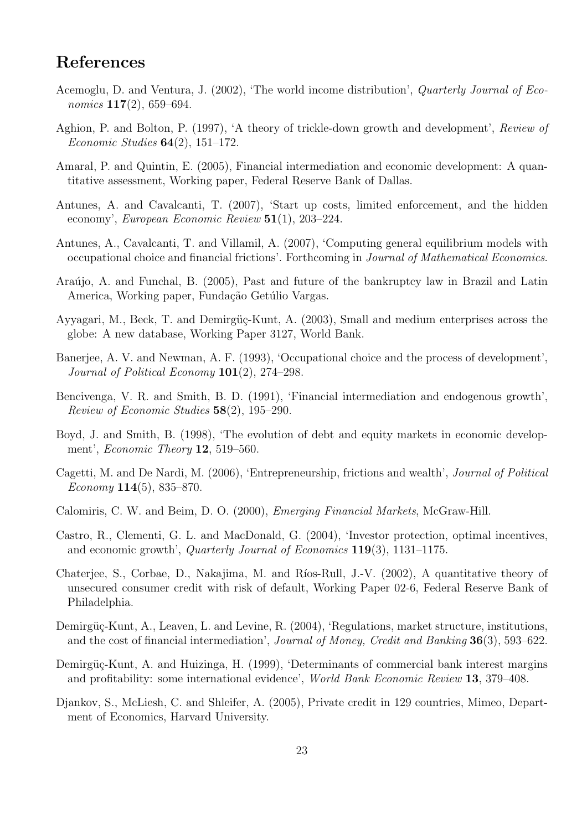## References

- Acemoglu, D. and Ventura, J. (2002), 'The world income distribution', Quarterly Journal of Economics  $117(2)$ , 659–694.
- Aghion, P. and Bolton, P. (1997), 'A theory of trickle-down growth and development', Review of Economic Studies  $64(2)$ , 151–172.
- Amaral, P. and Quintin, E. (2005), Financial intermediation and economic development: A quantitative assessment, Working paper, Federal Reserve Bank of Dallas.
- Antunes, A. and Cavalcanti, T. (2007), 'Start up costs, limited enforcement, and the hidden economy', European Economic Review 51(1), 203–224.
- Antunes, A., Cavalcanti, T. and Villamil, A. (2007), 'Computing general equilibrium models with occupational choice and financial frictions'. Forthcoming in Journal of Mathematical Economics.
- Araújo, A. and Funchal, B. (2005), Past and future of the bankruptcy law in Brazil and Latin America, Working paper, Fundação Getúlio Vargas.
- Ayyagari, M., Beck, T. and Demirgüç-Kunt, A. (2003), Small and medium enterprises across the globe: A new database, Working Paper 3127, World Bank.
- Banerjee, A. V. and Newman, A. F. (1993), 'Occupational choice and the process of development', Journal of Political Economy  $101(2)$ , 274–298.
- Bencivenga, V. R. and Smith, B. D. (1991), 'Financial intermediation and endogenous growth', Review of Economic Studies 58(2), 195–290.
- Boyd, J. and Smith, B. (1998), 'The evolution of debt and equity markets in economic development', *Economic Theory* **12**, 519–560.
- Cagetti, M. and De Nardi, M. (2006), 'Entrepreneurship, frictions and wealth', Journal of Political Economy  $114(5)$ , 835–870.
- Calomiris, C. W. and Beim, D. O. (2000), Emerging Financial Markets, McGraw-Hill.
- Castro, R., Clementi, G. L. and MacDonald, G. (2004), 'Investor protection, optimal incentives, and economic growth', Quarterly Journal of Economics 119(3), 1131–1175.
- Chaterjee, S., Corbae, D., Nakajima, M. and Ríos-Rull, J.-V. (2002), A quantitative theory of unsecured consumer credit with risk of default, Working Paper 02-6, Federal Reserve Bank of Philadelphia.
- Demirgüç-Kunt, A., Leaven, L. and Levine, R. (2004), 'Regulations, market structure, institutions, and the cost of financial intermediation', Journal of Money, Credit and Banking 36(3), 593–622.
- Demirgüç-Kunt, A. and Huizinga, H. (1999), 'Determinants of commercial bank interest margins and profitability: some international evidence', World Bank Economic Review 13, 379–408.
- Djankov, S., McLiesh, C. and Shleifer, A. (2005), Private credit in 129 countries, Mimeo, Department of Economics, Harvard University.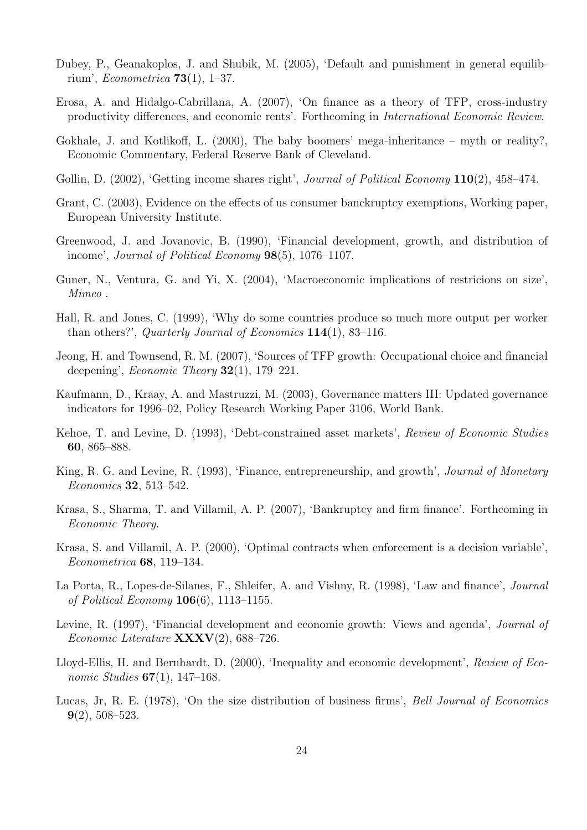- Dubey, P., Geanakoplos, J. and Shubik, M. (2005), 'Default and punishment in general equilibrium', *Econometrica* **73**(1), 1–37.
- Erosa, A. and Hidalgo-Cabrillana, A. (2007), 'On finance as a theory of TFP, cross-industry productivity differences, and economic rents'. Forthcoming in International Economic Review.
- Gokhale, J. and Kotlikoff, L. (2000), The baby boomers' mega-inheritance myth or reality?, Economic Commentary, Federal Reserve Bank of Cleveland.
- Gollin, D. (2002), 'Getting income shares right', *Journal of Political Economy* 110(2), 458–474.
- Grant, C. (2003), Evidence on the effects of us consumer banckruptcy exemptions, Working paper, European University Institute.
- Greenwood, J. and Jovanovic, B. (1990), 'Financial development, growth, and distribution of income', Journal of Political Economy 98(5), 1076–1107.
- Guner, N., Ventura, G. and Yi, X. (2004), 'Macroeconomic implications of restricions on size', Mimeo .
- Hall, R. and Jones, C. (1999), 'Why do some countries produce so much more output per worker than others?', Quarterly Journal of Economics  $114(1)$ , 83–116.
- Jeong, H. and Townsend, R. M. (2007), 'Sources of TFP growth: Occupational choice and financial deepening', *Economic Theory*  $32(1)$ , 179–221.
- Kaufmann, D., Kraay, A. and Mastruzzi, M. (2003), Governance matters III: Updated governance indicators for 1996–02, Policy Research Working Paper 3106, World Bank.
- Kehoe, T. and Levine, D. (1993), 'Debt-constrained asset markets', Review of Economic Studies 60, 865–888.
- King, R. G. and Levine, R. (1993), 'Finance, entrepreneurship, and growth', Journal of Monetary Economics 32, 513–542.
- Krasa, S., Sharma, T. and Villamil, A. P. (2007), 'Bankruptcy and firm finance'. Forthcoming in Economic Theory.
- Krasa, S. and Villamil, A. P. (2000), 'Optimal contracts when enforcement is a decision variable', Econometrica 68, 119–134.
- La Porta, R., Lopes-de-Silanes, F., Shleifer, A. and Vishny, R. (1998), 'Law and finance', Journal of Political Economy  $106(6)$ , 1113–1155.
- Levine, R. (1997), 'Financial development and economic growth: Views and agenda', *Journal of* Economic Literature  $\text{XXXV}(2)$ , 688–726.
- Lloyd-Ellis, H. and Bernhardt, D. (2000), 'Inequality and economic development', Review of Economic Studies **67**(1), 147–168.
- Lucas, Jr, R. E. (1978), 'On the size distribution of business firms', Bell Journal of Economics  $9(2)$ , 508–523.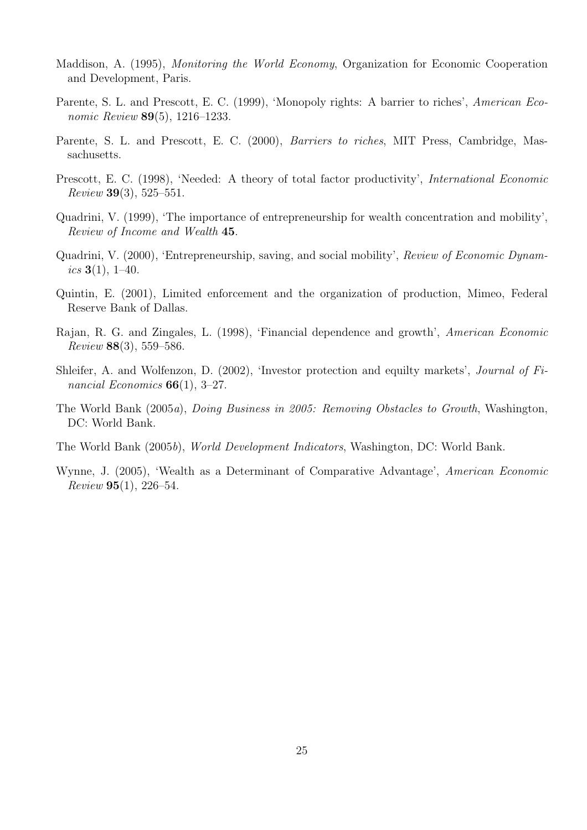- Maddison, A. (1995), Monitoring the World Economy, Organization for Economic Cooperation and Development, Paris.
- Parente, S. L. and Prescott, E. C. (1999), 'Monopoly rights: A barrier to riches', American Economic Review 89(5), 1216–1233.
- Parente, S. L. and Prescott, E. C. (2000), Barriers to riches, MIT Press, Cambridge, Massachusetts.
- Prescott, E. C. (1998), 'Needed: A theory of total factor productivity', International Economic Review 39(3), 525–551.
- Quadrini, V. (1999), 'The importance of entrepreneurship for wealth concentration and mobility', Review of Income and Wealth 45.
- Quadrini, V. (2000), 'Entrepreneurship, saving, and social mobility', Review of Economic Dynamics  $3(1)$ , 1–40.
- Quintin, E. (2001), Limited enforcement and the organization of production, Mimeo, Federal Reserve Bank of Dallas.
- Rajan, R. G. and Zingales, L. (1998), 'Financial dependence and growth', American Economic Review 88(3), 559–586.
- Shleifer, A. and Wolfenzon, D. (2002), 'Investor protection and equilty markets', Journal of Financial Economics  $66(1)$ , 3-27.
- The World Bank (2005a), Doing Business in 2005: Removing Obstacles to Growth, Washington, DC: World Bank.
- The World Bank (2005b), World Development Indicators, Washington, DC: World Bank.
- Wynne, J. (2005), 'Wealth as a Determinant of Comparative Advantage', American Economic Review 95(1), 226–54.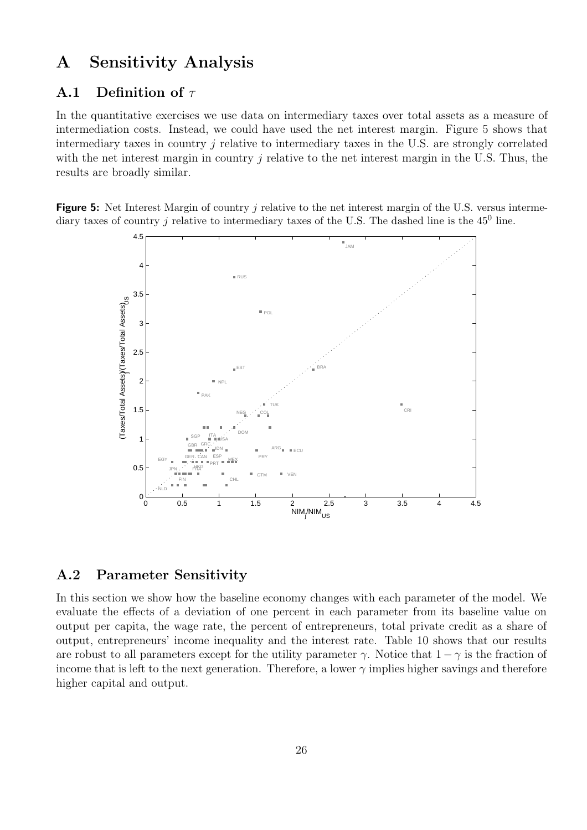### A Sensitivity Analysis

#### **A.1** Definition of  $\tau$

In the quantitative exercises we use data on intermediary taxes over total assets as a measure of intermediation costs. Instead, we could have used the net interest margin. Figure 5 shows that intermediary taxes in country j relative to intermediary taxes in the U.S. are strongly correlated with the net interest margin in country  $j$  relative to the net interest margin in the U.S. Thus, the results are broadly similar.

Figure 5: Net Interest Margin of country j relative to the net interest margin of the U.S. versus intermediary taxes of country j relative to intermediary taxes of the U.S. The dashed line is the  $45^{\circ}$  line.



#### A.2 Parameter Sensitivity

In this section we show how the baseline economy changes with each parameter of the model. We evaluate the effects of a deviation of one percent in each parameter from its baseline value on output per capita, the wage rate, the percent of entrepreneurs, total private credit as a share of output, entrepreneurs' income inequality and the interest rate. Table 10 shows that our results are robust to all parameters except for the utility parameter  $\gamma$ . Notice that  $1 - \gamma$  is the fraction of income that is left to the next generation. Therefore, a lower  $\gamma$  implies higher savings and therefore higher capital and output.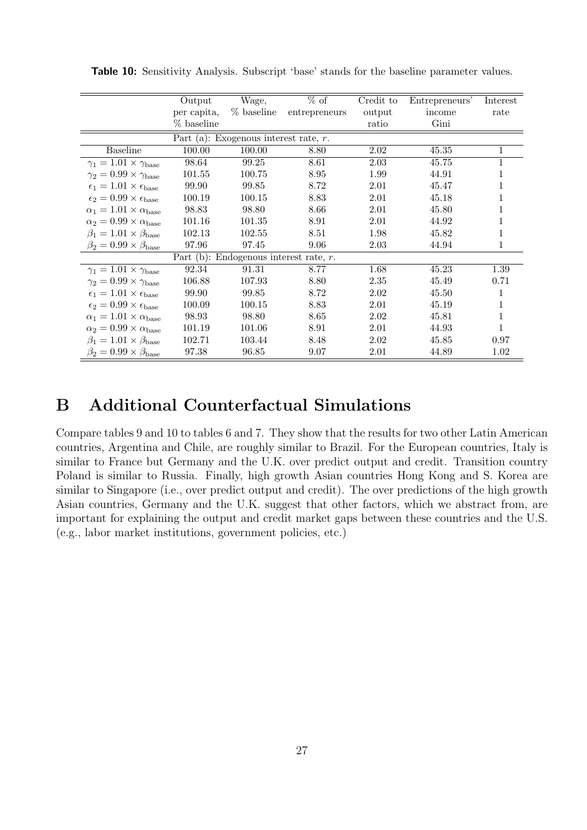|                                                          | Output      | Wage,                                     | $%$ of | Credit to | Entrepreneurs' | Interest |
|----------------------------------------------------------|-------------|-------------------------------------------|--------|-----------|----------------|----------|
|                                                          | per capita, | % baseline                                |        | output    | income         | rate     |
|                                                          | % baseline  |                                           |        | ratio     | Gini           |          |
|                                                          |             | Part (a): Exogenous interest rate, $r$ .  |        |           |                |          |
| <b>Baseline</b>                                          | 100.00      | 100.00                                    | 8.80   | 2.02      | 45.35          | 1        |
| $\overline{\gamma_1} = 1.01 \times \gamma_{\text{base}}$ | 98.64       | 99.25                                     | 8.61   | 2.03      | 45.75          | 1        |
| $\gamma_2 = 0.99 \times \gamma_{\text{base}}$            | 101.55      | 100.75                                    | 8.95   | 1.99      | 44.91          |          |
| $\epsilon_1 = 1.01 \times \epsilon_{base}$               | 99.90       | 99.85                                     | 8.72   | 2.01      | 45.47          |          |
| $\epsilon_2 = 0.99 \times \epsilon_{base}$               | 100.19      | 100.15                                    | 8.83   | 2.01      | 45.18          |          |
| $\alpha_1 = 1.01 \times \alpha_{base}$                   | 98.83       | 98.80                                     | 8.66   | 2.01      | 45.80          |          |
| $\alpha_2 = 0.99 \times \alpha_{base}$                   | 101.16      | 101.35                                    | 8.91   | 2.01      | 44.92          | 1        |
| $\beta_1 = 1.01 \times \beta_{base}$                     | 102.13      | 102.55                                    | 8.51   | 1.98      | 45.82          | 1        |
| $\beta_2=0.99\times\beta_{\rm base}$                     | 97.96       | 97.45                                     | 9.06   | 2.03      | 44.94          | 1        |
|                                                          |             | Part (b): Endogenous interest rate, $r$ . |        |           |                |          |
| $\overline{\gamma_1} = 1.01 \times \gamma_{\text{base}}$ | 92.34       | 91.31                                     | 8.77   | 1.68      | 45.23          | 1.39     |
| $\gamma_2 = 0.99 \times \gamma_{\text{base}}$            | 106.88      | 107.93                                    | 8.80   | 2.35      | 45.49          | 0.71     |
| $\epsilon_1 = 1.01 \times \epsilon_{base}$               | 99.90       | 99.85                                     | 8.72   | 2.02      | 45.50          |          |
| $\epsilon_2=0.99\times\epsilon_{\rm base}$               | 100.09      | 100.15                                    | 8.83   | 2.01      | 45.19          |          |
| $\alpha_1 = 1.01 \times \alpha_{base}$                   | 98.93       | 98.80                                     | 8.65   | 2.02      | 45.81          |          |
| $\alpha_2 = 0.99 \times \alpha_{base}$                   | 101.19      | 101.06                                    | 8.91   | 2.01      | 44.93          | 1        |
| $\beta_1 = 1.01 \times \beta_{base}$                     | 102.71      | 103.44                                    | 8.48   | 2.02      | 45.85          | 0.97     |
| $\beta_2 = 0.99 \times \beta_{base}$                     | 97.38       | 96.85                                     | 9.07   | 2.01      | 44.89          | 1.02     |

Table 10: Sensitivity Analysis. Subscript 'base' stands for the baseline parameter values.

### B Additional Counterfactual Simulations

Compare tables 9 and 10 to tables 6 and 7. They show that the results for two other Latin American countries, Argentina and Chile, are roughly similar to Brazil. For the European countries, Italy is similar to France but Germany and the U.K. over predict output and credit. Transition country Poland is similar to Russia. Finally, high growth Asian countries Hong Kong and S. Korea are similar to Singapore (i.e., over predict output and credit). The over predictions of the high growth Asian countries, Germany and the U.K. suggest that other factors, which we abstract from, are important for explaining the output and credit market gaps between these countries and the U.S. (e.g., labor market institutions, government policies, etc.)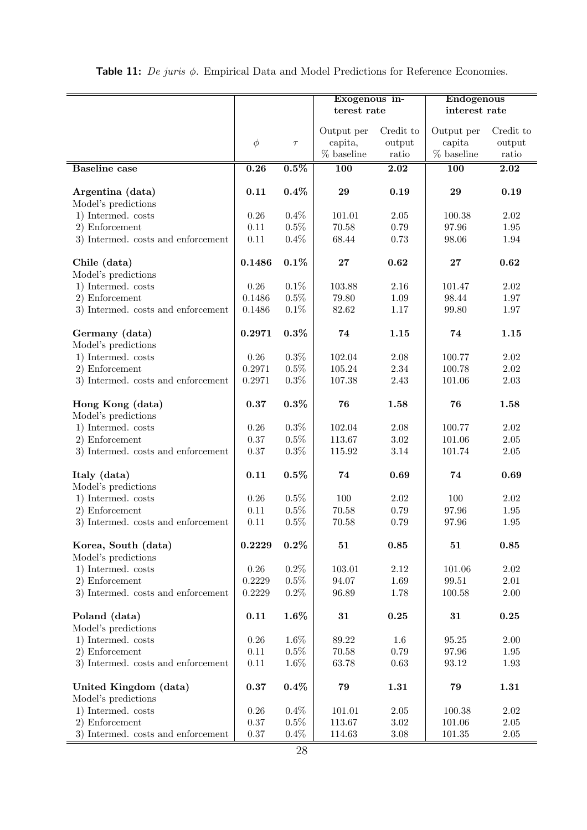|                                    |            |         | Exogenous in- |            | Endogenous           |            |
|------------------------------------|------------|---------|---------------|------------|----------------------|------------|
|                                    |            |         | terest rate   |            | interest rate        |            |
|                                    |            |         |               |            |                      |            |
|                                    |            |         | Output per    | Credit to  | Output per           | Credit to  |
|                                    | $\phi$     | $\tau$  | capita,       | output     | capita               | output     |
|                                    |            |         | $%$ baseline  | ratio      | % baseline           | ratio      |
| <b>Baseline</b> case               | 0.26       | $0.5\%$ | 100           | 2.02       | 100                  | 2.02       |
| Argentina (data)                   | 0.11       | $0.4\%$ | 29            | 0.19       | 29                   | 0.19       |
| Model's predictions                |            |         |               |            |                      |            |
| 1) Intermed. costs                 | $0.26\,$   | 0.4%    | 101.01        | 2.05       | 100.38               | 2.02       |
| 2) Enforcement                     | 0.11       | $0.5\%$ | 70.58         | 0.79       | 97.96                | 1.95       |
| 3) Intermed. costs and enforcement | $0.11\,$   | $0.4\%$ | 68.44         | 0.73       | 98.06                | 1.94       |
| Chile (data)                       | 0.1486     | 0.1%    | 27            | 0.62       | 27                   | 0.62       |
| Model's predictions                |            |         |               |            |                      |            |
| 1) Intermed. costs                 | 0.26       | 0.1%    | 103.88        | 2.16       | 101.47               | 2.02       |
| 2) Enforcement                     | 0.1486     | $0.5\%$ | 79.80         | 1.09       | 98.44                | 1.97       |
| 3) Intermed. costs and enforcement | 0.1486     | $0.1\%$ | 82.62         | $1.17\,$   | 99.80                | 1.97       |
| Germany (data)                     | 0.2971     | $0.3\%$ | 74            | 1.15       | 74                   | 1.15       |
| Model's predictions                |            |         |               |            |                      |            |
| 1) Intermed. costs                 | 0.26       | $0.3\%$ | 102.04        | 2.08       | 100.77               | 2.02       |
| 2) Enforcement                     | 0.2971     | $0.5\%$ | 105.24        | 2.34       | 100.78               | 2.02       |
| 3) Intermed. costs and enforcement | 0.2971     | $0.3\%$ | 107.38        | $2.43\,$   | 101.06               | $2.03\,$   |
| Hong Kong (data)                   | 0.37       | $0.3\%$ | 76            | 1.58       | 76                   | 1.58       |
| Model's predictions                |            |         |               |            |                      |            |
| 1) Intermed. costs                 | 0.26       | $0.3\%$ | 102.04        | 2.08       | 100.77               | 2.02       |
| 2) Enforcement                     | $0.37\,$   | $0.5\%$ | 113.67        | $3.02\,$   | 101.06               | $2.05\,$   |
| 3) Intermed. costs and enforcement | 0.37       | $0.3\%$ | 115.92        | $3.14\,$   | 101.74               | 2.05       |
| Italy (data)                       | 0.11       | $0.5\%$ | 74            | 0.69       | 74                   | 0.69       |
| Model's predictions                |            |         |               |            |                      |            |
| 1) Intermed. costs                 | 0.26       | $0.5\%$ | 100           | $2.02\,$   | 100                  | $2.02\,$   |
| 2) Enforcement                     | 0.11       | $0.5\%$ | 70.58         | 0.79       | 97.96                | 1.95       |
| 3) Intermed. costs and enforcement | 0.11       | $0.5\%$ | 70.58         | 0.79       | 97.96                | 1.95       |
| Korea, South (data)                | 0.2229     | $0.2\%$ | 51            | $\bf 0.85$ | 51                   | 0.85       |
| Model's predictions                |            |         |               |            |                      |            |
| 1) Intermed. costs                 | $0.26\,$   | $0.2\%$ | 103.01        | $2.12\,$   | 101.06               | $2.02\,$   |
| 2) Enforcement                     | 0.2229     | $0.5\%$ | 94.07         | 1.69       | 99.51                | $2.01\,$   |
| 3) Intermed. costs and enforcement | 0.2229     | $0.2\%$ | 96.89         | 1.78       | 100.58               | $2.00\,$   |
| Poland (data)                      | 0.11       | $1.6\%$ | 31            | $\bf 0.25$ | 31                   | $\bf 0.25$ |
| Model's predictions                |            |         |               |            |                      |            |
| 1) Intermed. costs                 | $0.26\,$   | $1.6\%$ | 89.22         | 1.6        | $\boldsymbol{95.25}$ | $2.00\,$   |
| 2) Enforcement                     | $0.11\,$   | $0.5\%$ | 70.58         | 0.79       | 97.96                | $1.95\,$   |
| 3) Intermed. costs and enforcement | $0.11\,$   | 1.6%    | 63.78         | 0.63       | 93.12                | 1.93       |
| United Kingdom (data)              | $\bf 0.37$ | $0.4\%$ | 79            | 1.31       | 79                   | 1.31       |
| Model's predictions                |            |         |               |            |                      |            |
| 1) Intermed. costs                 | $0.26\,$   | $0.4\%$ | 101.01        | 2.05       | 100.38               | $2.02\,$   |
| 2) Enforcement                     | 0.37       | 0.5%    | 113.67        | $3.02\,$   | 101.06               | $2.05\,$   |
| 3) Intermed. costs and enforcement | $0.37\,$   | 0.4%    | 114.63        | $3.08\,$   | 101.35               | $2.05\,$   |

### **Table 11:** De juris  $\phi$ . Empirical Data and Model Predictions for Reference Economies.